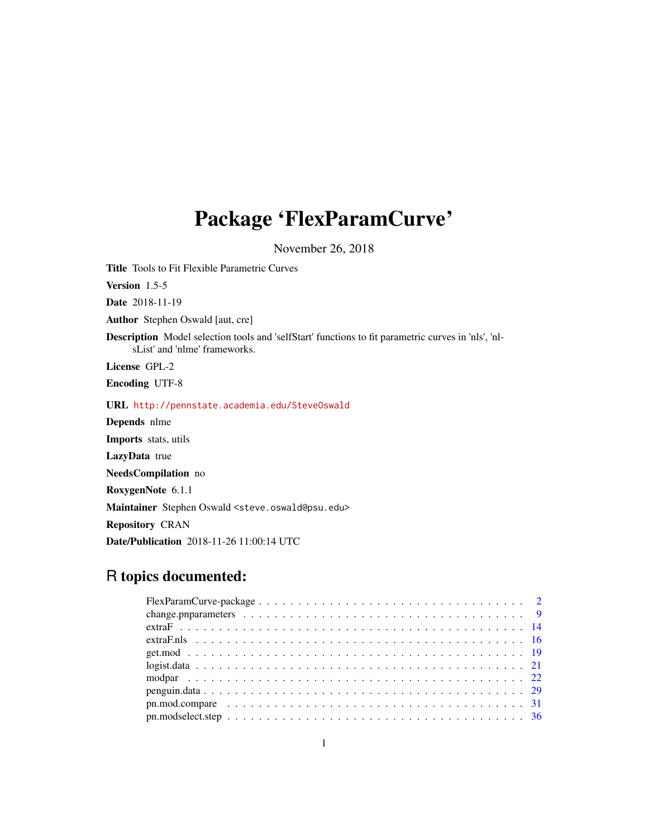# Package 'FlexParamCurve'

November 26, 2018

<span id="page-0-0"></span>Title Tools to Fit Flexible Parametric Curves Version 1.5-5

Date 2018-11-19

Author Stephen Oswald [aut, cre]

Description Model selection tools and 'selfStart' functions to fit parametric curves in 'nls', 'nlsList' and 'nlme' frameworks.

License GPL-2

Encoding UTF-8

URL <http://pennstate.academia.edu/SteveOswald>

Depends nlme

Imports stats, utils

LazyData true

NeedsCompilation no

RoxygenNote 6.1.1

Maintainer Stephen Oswald <steve.oswald@psu.edu>

Repository CRAN

Date/Publication 2018-11-26 11:00:14 UTC

## R topics documented: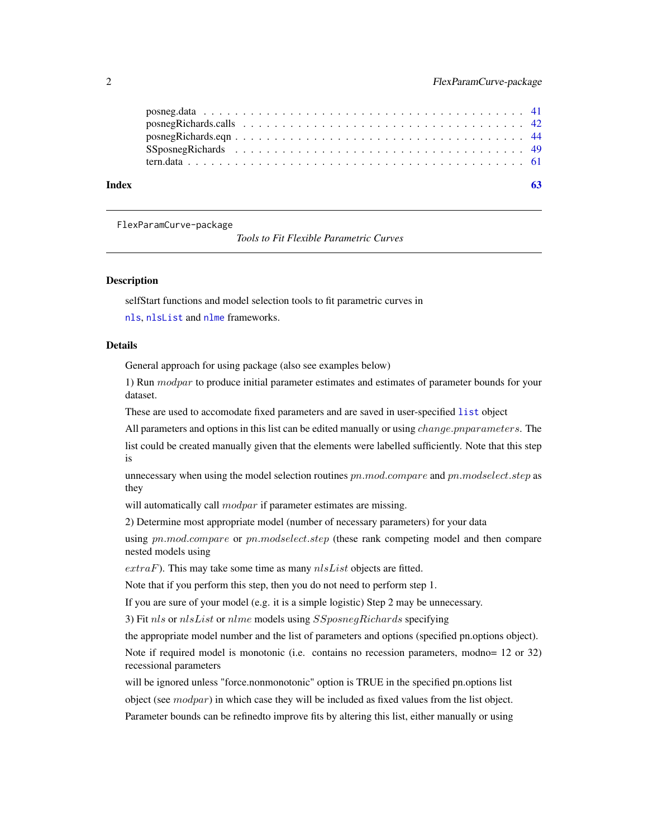| Index |  |
|-------|--|
|       |  |
|       |  |
|       |  |
|       |  |
|       |  |

FlexParamCurve-package

*Tools to Fit Flexible Parametric Curves*

#### **Description**

selfStart functions and model selection tools to fit parametric curves in

[nls](#page-0-0), [nlsList](#page-0-0) and [nlme](#page-0-0) frameworks.

#### Details

General approach for using package (also see examples below)

1) Run modpar to produce initial parameter estimates and estimates of parameter bounds for your dataset.

These are used to accomodate fixed parameters and are saved in user-specified [list](#page-0-0) object

All parameters and options in this list can be edited manually or using *change.pnparameters*. The

list could be created manually given that the elements were labelled sufficiently. Note that this step is

unnecessary when using the model selection routines  $pn$ .mod.compare and  $pn$ .modselect.step as they

will automatically call *modpar* if parameter estimates are missing.

2) Determine most appropriate model (number of necessary parameters) for your data

using  $pn$ .mod.compare or  $pn$ .modselect.step (these rank competing model and then compare nested models using

 $extraF$ ). This may take some time as many  $nlsList$  objects are fitted.

Note that if you perform this step, then you do not need to perform step 1.

If you are sure of your model (e.g. it is a simple logistic) Step 2 may be unnecessary.

3) Fit nls or nlsList or nlme models using SSposnegRichards specifying

the appropriate model number and the list of parameters and options (specified pn.options object).

Note if required model is monotonic (i.e. contains no recession parameters, modno= 12 or 32) recessional parameters

will be ignored unless "force.nonmonotonic" option is TRUE in the specified pn.options list object (see  $modpar$ ) in which case they will be included as fixed values from the list object. Parameter bounds can be refinedto improve fits by altering this list, either manually or using

<span id="page-1-0"></span>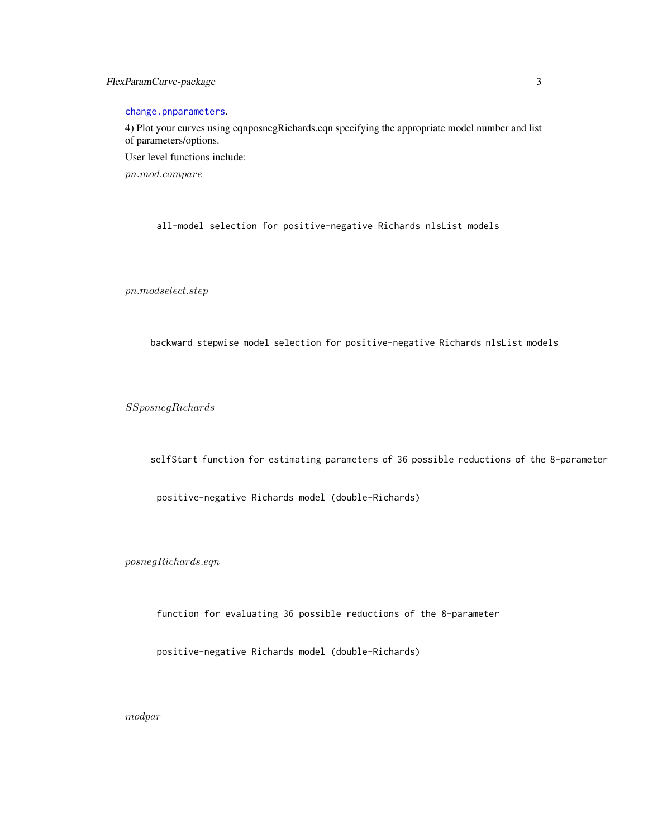#### <span id="page-2-0"></span>FlexParamCurve-package 3

[change.pnparameters](#page-8-1).

4) Plot your curves using eqnposnegRichards.eqn specifying the appropriate model number and list of parameters/options.

User level functions include:

pn.mod.compare

all-model selection for positive-negative Richards nlsList models

 $p n. modes elect. step$ 

backward stepwise model selection for positive-negative Richards nlsList models

SSposnegRichards

selfStart function for estimating parameters of 36 possible reductions of the 8-parameter

positive-negative Richards model (double-Richards)

posnegRichards.eqn

function for evaluating 36 possible reductions of the 8-parameter

positive-negative Richards model (double-Richards)

modpar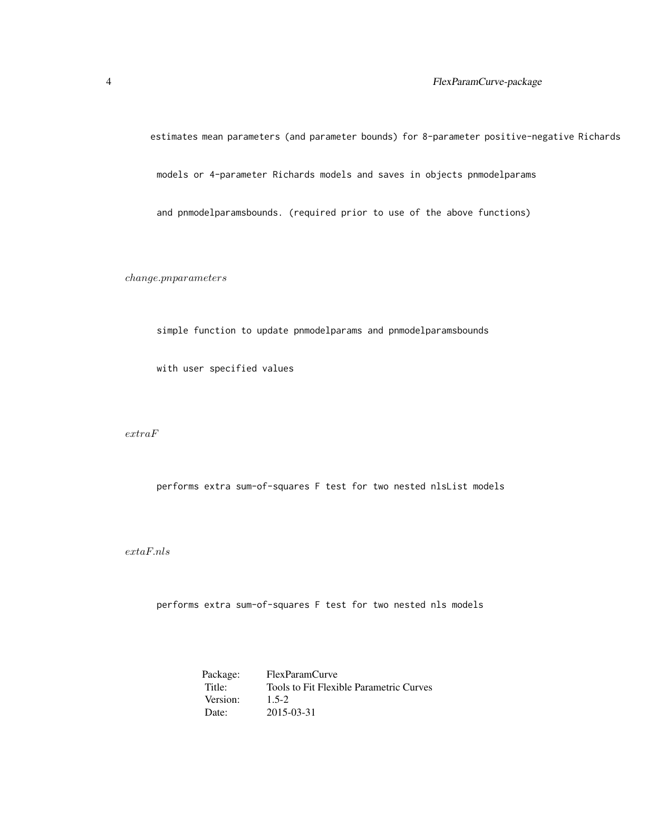estimates mean parameters (and parameter bounds) for 8-parameter positive-negative Richards models or 4-parameter Richards models and saves in objects pnmodelparams and pnmodelparamsbounds. (required prior to use of the above functions)

change.pnparameters

simple function to update pnmodelparams and pnmodelparamsbounds

with user specified values

extraF

performs extra sum-of-squares F test for two nested nlsList models

 $\emph{extaF} \emph{.}$ nls

performs extra sum-of-squares F test for two nested nls models

Package: FlexParamCurve<br>Title: Tools to Fit Flexi Tools to Fit Flexible Parametric Curves<br>1.5-2 Version: Date: 2015-03-31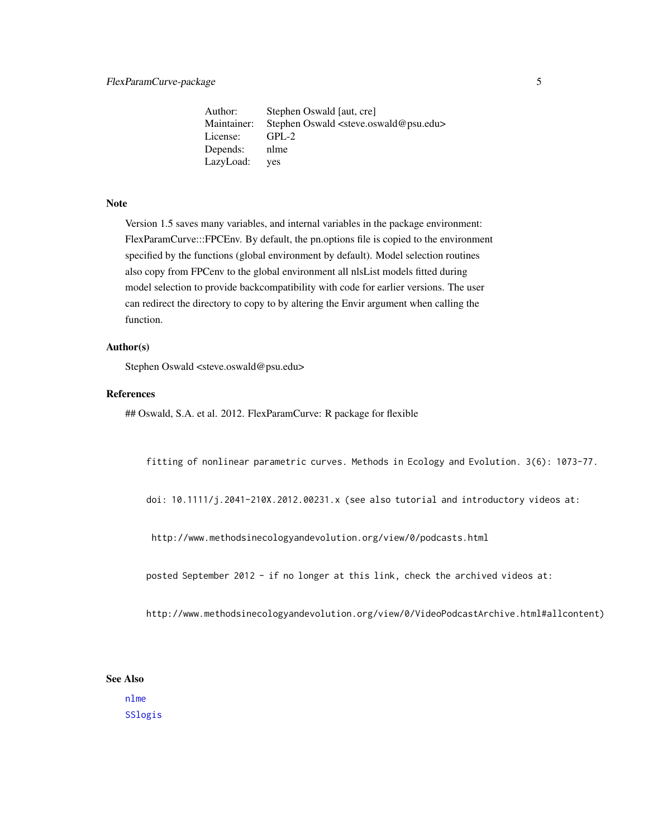<span id="page-4-0"></span>Author: Stephen Oswald [aut, cre] Maintainer: Stephen Oswald <steve.oswald@psu.edu> License: GPL-2 Depends: nlme LazyLoad: yes

#### Note

Version 1.5 saves many variables, and internal variables in the package environment: FlexParamCurve:::FPCEnv. By default, the pn.options file is copied to the environment specified by the functions (global environment by default). Model selection routines also copy from FPCenv to the global environment all nlsList models fitted during model selection to provide backcompatibility with code for earlier versions. The user can redirect the directory to copy to by altering the Envir argument when calling the function.

#### Author(s)

Stephen Oswald <steve.oswald@psu.edu>

#### References

## Oswald, S.A. et al. 2012. FlexParamCurve: R package for flexible

fitting of nonlinear parametric curves. Methods in Ecology and Evolution. 3(6): 1073-77.

doi: 10.1111/j.2041-210X.2012.00231.x (see also tutorial and introductory videos at:

http://www.methodsinecologyandevolution.org/view/0/podcasts.html

posted September 2012 - if no longer at this link, check the archived videos at:

http://www.methodsinecologyandevolution.org/view/0/VideoPodcastArchive.html#allcontent)

#### See Also

[nlme](#page-0-0) [SSlogis](#page-0-0)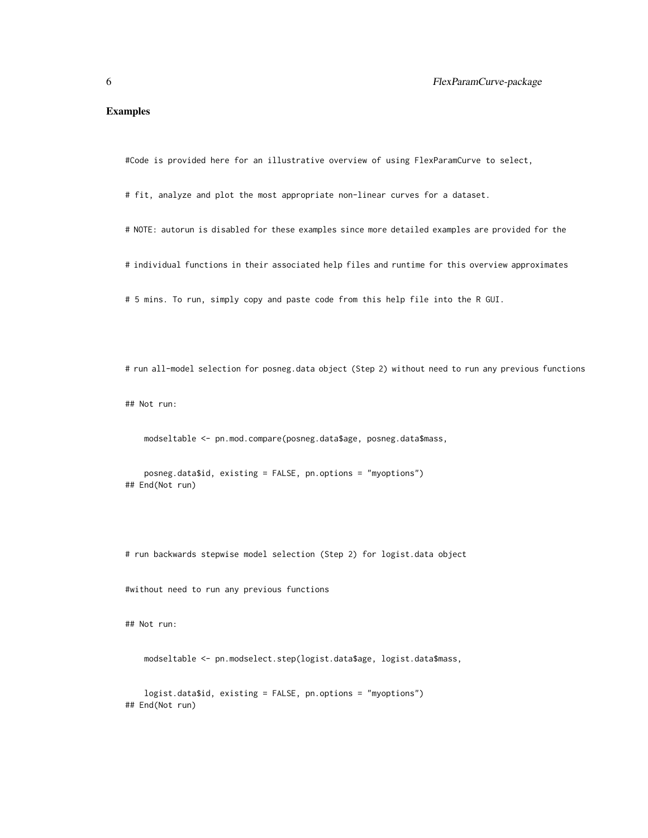#### Examples

#Code is provided here for an illustrative overview of using FlexParamCurve to select,

# fit, analyze and plot the most appropriate non-linear curves for a dataset.

- # NOTE: autorun is disabled for these examples since more detailed examples are provided for the
- # individual functions in their associated help files and runtime for this overview approximates

# 5 mins. To run, simply copy and paste code from this help file into the R GUI.

# run all-model selection for posneg.data object (Step 2) without need to run any previous functions

## Not run:

modseltable <- pn.mod.compare(posneg.data\$age, posneg.data\$mass,

posneg.data\$id, existing = FALSE, pn.options = "myoptions") ## End(Not run)

# run backwards stepwise model selection (Step 2) for logist.data object

#without need to run any previous functions

## Not run:

modseltable <- pn.modselect.step(logist.data\$age, logist.data\$mass,

logist.data\$id, existing = FALSE, pn.options = "myoptions") ## End(Not run)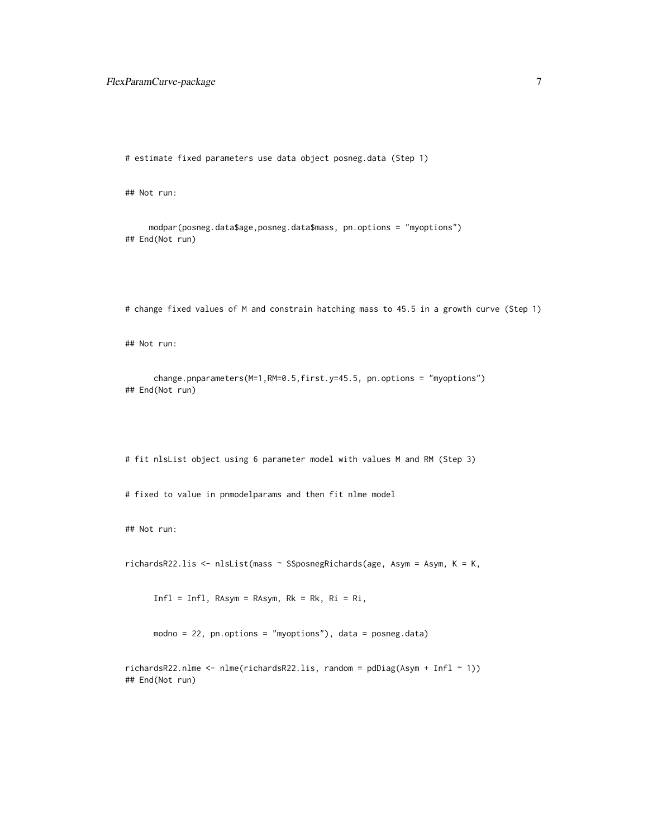# estimate fixed parameters use data object posneg.data (Step 1)

## Not run:

```
modpar(posneg.data$age,posneg.data$mass, pn.options = "myoptions")
## End(Not run)
```
# change fixed values of M and constrain hatching mass to 45.5 in a growth curve (Step 1)

## Not run:

```
change.pnparameters(M=1,RM=0.5,first.y=45.5, pn.options = "myoptions")
## End(Not run)
```
# fit nlsList object using 6 parameter model with values M and RM (Step 3)

# fixed to value in pnmodelparams and then fit nlme model

## Not run:

richardsR22.lis <- nlsList(mass ~ SSposnegRichards(age, Asym = Asym, K = K,

Infl = Infl, RAsym = RAsym, Rk = Rk, Ri = Ri,

modno = 22, pn.options = "myoptions"), data = posneg.data)

 $richardsR22.nlme < -nlme(richardsR22.lis, random = pdDiag(Asym + Infl ~ 1))$ ## End(Not run)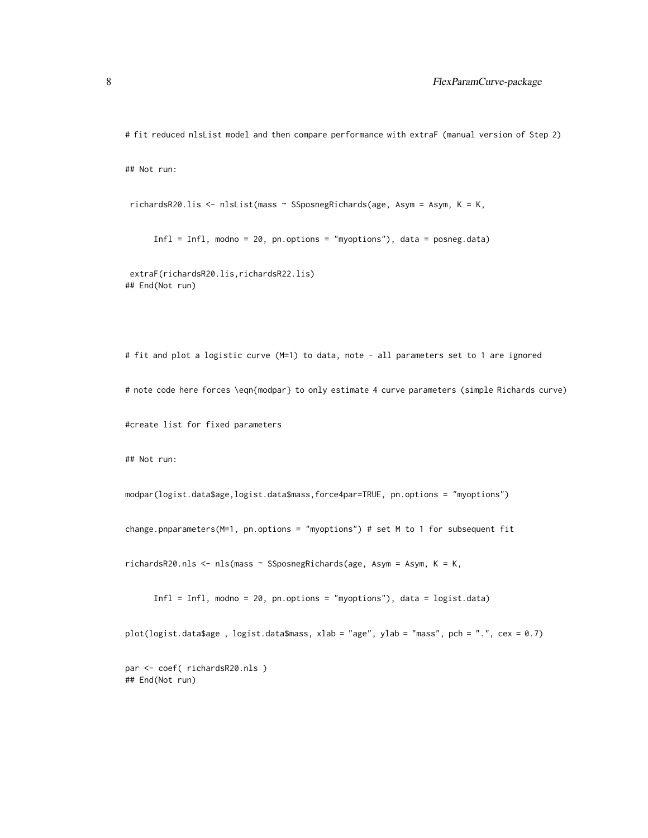# fit reduced nlsList model and then compare performance with extraF (manual version of Step 2)

## Not run:

```
richardsR20.lis <- nlsList(mass ~ SSposnegRichards(age, Asym = Asym, K = K,
```
Infl = Infl, modno = 20, pn.options = "myoptions"), data = posneg.data)

extraF(richardsR20.lis,richardsR22.lis) ## End(Not run)

# fit and plot a logistic curve (M=1) to data, note - all parameters set to 1 are ignored # note code here forces \eqn{modpar} to only estimate 4 curve parameters (simple Richards curve) #create list for fixed parameters

## Not run:

modpar(logist.data\$age,logist.data\$mass,force4par=TRUE, pn.options = "myoptions")

change.pnparameters(M=1, pn.options = "myoptions") # set M to 1 for subsequent fit

richardsR20.nls <- nls(mass ~ SSposnegRichards(age, Asym = Asym, K = K,

Infl = Infl, modno = 20, pn.options = "myoptions"), data = logist.data)

plot(logist.data\$age , logist.data\$mass, xlab = "age", ylab = "mass", pch = ".", cex = 0.7)

par <- coef( richardsR20.nls ) ## End(Not run)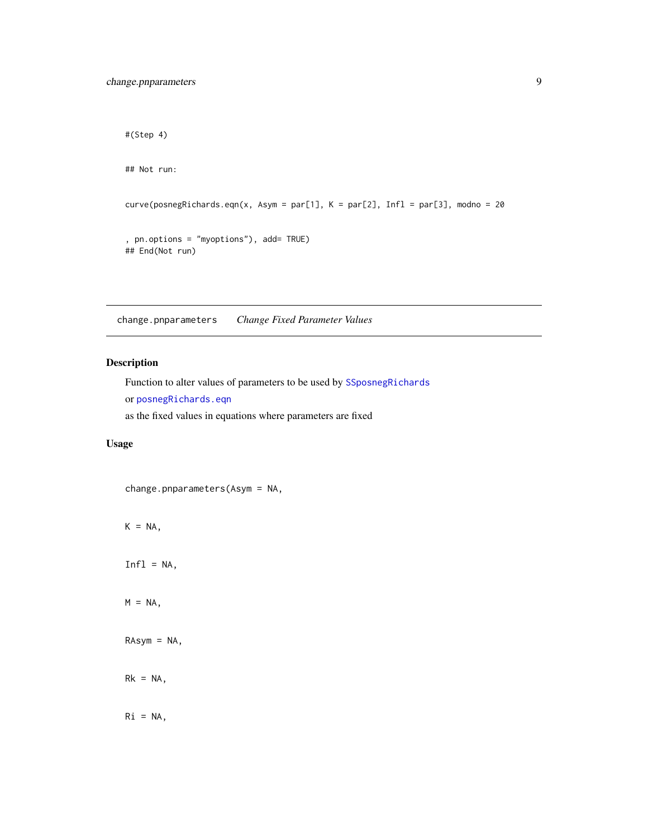## End(Not run)

```
#(Step 4)
## Not run:
curve(posnegRichards.eqn(x, Asym = par[1], K = par[2], Infl = par[3], modno = 20, pn.options = "myoptions"), add= TRUE)
```
<span id="page-8-1"></span>change.pnparameters *Change Fixed Parameter Values*

#### Description

Function to alter values of parameters to be used by [SSposnegRichards](#page-48-1) or [posnegRichards.eqn](#page-43-1) as the fixed values in equations where parameters are fixed

#### Usage

change.pnparameters(Asym = NA,

 $K = NA$ ,

 $Infl = NA$ ,

 $M = NA$ ,

RAsym = NA,

 $Rk = NA$ ,

 $Ri = NA,$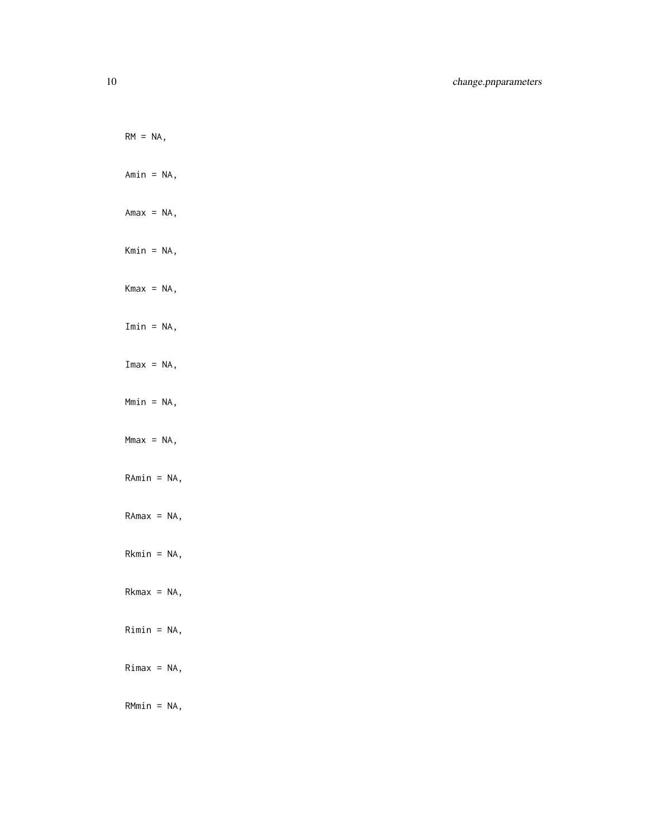$RM = NA$ , Amin = NA,  $Amax = NA$ , Kmin = NA,  $Kmax = NA$ , Imin = NA,  $Imax = NA$ , Mmin = NA,  $Mmax = NA$ , RAmin = NA,  $RAmax = NA$ , Rkmin = NA,  $Rkmax = NA$ , Rimin = NA,  $Rimax = NA$ ,

RMmin = NA,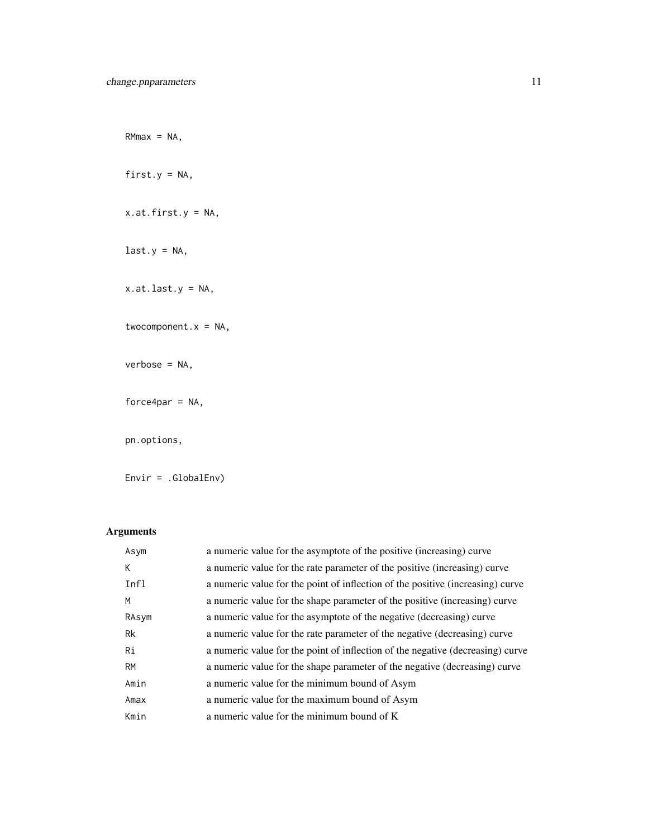$RMmax = NA$ ,

first.y =  $NA$ ,

x.at.first.y = NA,

 $last.y = NA,$ 

x.at.last.y = NA,

twocomponent. $x = NA$ ,

verbose = NA,

force4par =  $NA$ ,

pn.options,

Envir = .GlobalEnv)

### Arguments

| Asym  | a numeric value for the asymptote of the positive (increasing) curve           |
|-------|--------------------------------------------------------------------------------|
| К     | a numeric value for the rate parameter of the positive (increasing) curve      |
| Infl  | a numeric value for the point of inflection of the positive (increasing) curve |
| M     | a numeric value for the shape parameter of the positive (increasing) curve     |
| RAsym | a numeric value for the asymptote of the negative (decreasing) curve           |
| Rk    | a numeric value for the rate parameter of the negative (decreasing) curve      |
| Ri    | a numeric value for the point of inflection of the negative (decreasing) curve |
| RM    | a numeric value for the shape parameter of the negative (decreasing) curve     |
| Amin  | a numeric value for the minimum bound of Asym                                  |
| Amax  | a numeric value for the maximum bound of Asym                                  |
| Kmin  | a numeric value for the minimum bound of K                                     |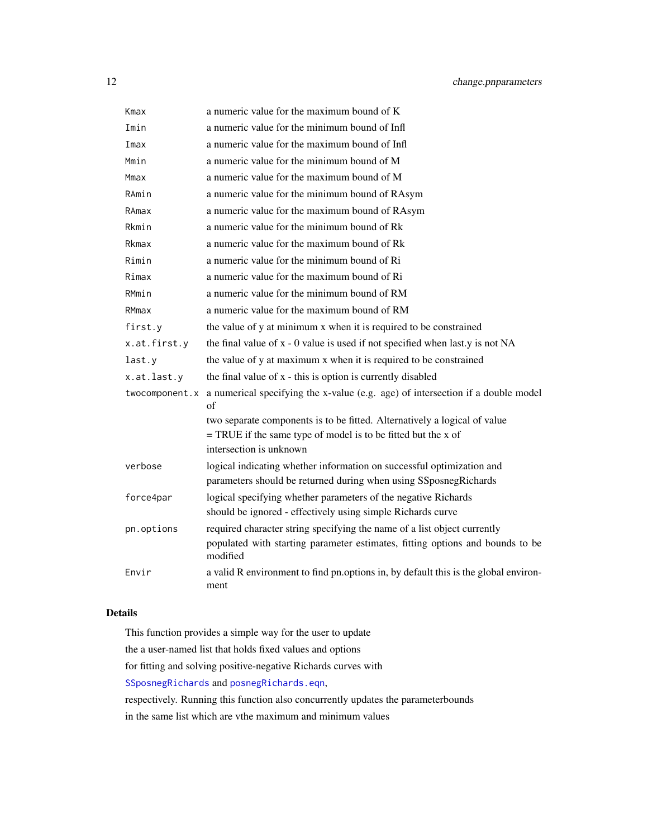<span id="page-11-0"></span>

| Kmax           | a numeric value for the maximum bound of K                                                  |
|----------------|---------------------------------------------------------------------------------------------|
| Imin           | a numeric value for the minimum bound of Infl                                               |
| Imax           | a numeric value for the maximum bound of Infl                                               |
| Mmin           | a numeric value for the minimum bound of M                                                  |
| Mmax           | a numeric value for the maximum bound of M                                                  |
| RAmin          | a numeric value for the minimum bound of RAsym                                              |
| RAmax          | a numeric value for the maximum bound of RAsym                                              |
| Rkmin          | a numeric value for the minimum bound of Rk                                                 |
| Rkmax          | a numeric value for the maximum bound of Rk                                                 |
| Rimin          | a numeric value for the minimum bound of Ri                                                 |
| Rimax          | a numeric value for the maximum bound of Ri                                                 |
| RMmin          | a numeric value for the minimum bound of RM                                                 |
| RMmax          | a numeric value for the maximum bound of RM                                                 |
| first.y        | the value of y at minimum x when it is required to be constrained                           |
| x.at.first.y   | the final value of x - 0 value is used if not specified when last y is not NA               |
| last.y         | the value of y at maximum x when it is required to be constrained                           |
| x.at.last.y    | the final value of x - this is option is currently disabled                                 |
| twocomponent.x | a numerical specifying the x-value (e.g. age) of intersection if a double model<br>of       |
|                | two separate components is to be fitted. Alternatively a logical of value                   |
|                | $=$ TRUE if the same type of model is to be fitted but the x of                             |
|                | intersection is unknown                                                                     |
| verbose        | logical indicating whether information on successful optimization and                       |
|                | parameters should be returned during when using SSposnegRichards                            |
| force4par      | logical specifying whether parameters of the negative Richards                              |
|                | should be ignored - effectively using simple Richards curve                                 |
| pn.options     | required character string specifying the name of a list object currently                    |
|                | populated with starting parameter estimates, fitting options and bounds to be<br>modified   |
| Envir          | a valid R environment to find pn.options in, by default this is the global environ-<br>ment |

#### Details

This function provides a simple way for the user to update the a user-named list that holds fixed values and options for fitting and solving positive-negative Richards curves with [SSposnegRichards](#page-48-1) and [posnegRichards.eqn](#page-43-1), respectively. Running this function also concurrently updates the parameterbounds in the same list which are vthe maximum and minimum values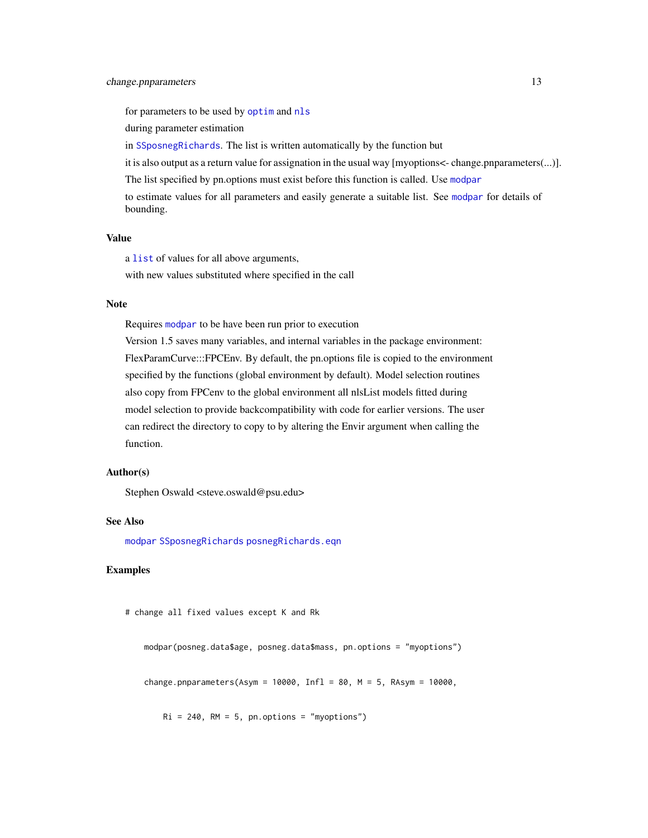<span id="page-12-0"></span>for parameters to be used by [optim](#page-0-0) and [nls](#page-0-0)

during parameter estimation

in [SSposnegRichards](#page-48-1). The list is written automatically by the function but

it is also output as a return value for assignation in the usual way [myoptions<- change.pnparameters(...)]. The list specified by pn.options must exist before this function is called. Use [modpar](#page-21-1) to estimate values for all parameters and easily generate a suitable list. See [modpar](#page-21-1) for details of

bounding.

#### Value

a [list](#page-0-0) of values for all above arguments,

with new values substituted where specified in the call

#### Note

Requires [modpar](#page-21-1) to be have been run prior to execution

Version 1.5 saves many variables, and internal variables in the package environment: FlexParamCurve:::FPCEnv. By default, the pn.options file is copied to the environment specified by the functions (global environment by default). Model selection routines also copy from FPCenv to the global environment all nlsList models fitted during model selection to provide backcompatibility with code for earlier versions. The user can redirect the directory to copy to by altering the Envir argument when calling the function.

### Author(s)

Stephen Oswald <steve.oswald@psu.edu>

#### See Also

[modpar](#page-21-1) [SSposnegRichards](#page-48-1) [posnegRichards.eqn](#page-43-1)

#### Examples

```
# change all fixed values except K and Rk
```
modpar(posneg.data\$age, posneg.data\$mass, pn.options = "myoptions")

change.pnparameters(Asym = 10000, Infl = 80,  $M = 5$ , RAsym = 10000,

 $Ri = 240$ ,  $RM = 5$ , pn.options = "myoptions")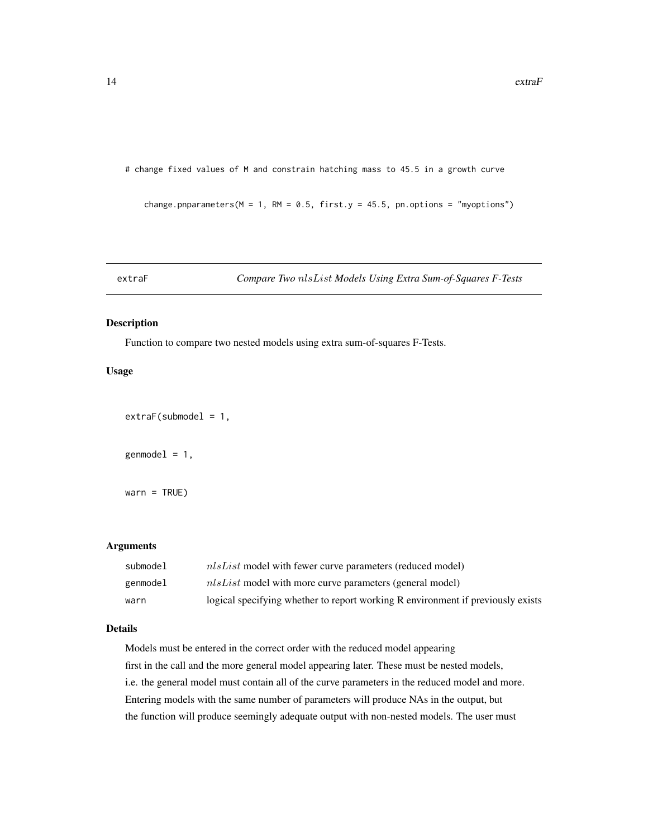<span id="page-13-0"></span># change fixed values of M and constrain hatching mass to 45.5 in a growth curve

change.pnparameters( $M = 1$ , RM = 0.5, first.y = 45.5, pn.options = "myoptions")

<span id="page-13-1"></span>extraF *Compare Two* nlsList *Models Using Extra Sum-of-Squares F-Tests*

#### Description

Function to compare two nested models using extra sum-of-squares F-Tests.

#### Usage

 $ext{raf}$ (submodel = 1,

 $genmodel = 1,$ 

 $warn = TRUE$ )

#### Arguments

| submodel | <i>nlsList</i> model with fewer curve parameters (reduced model)                |
|----------|---------------------------------------------------------------------------------|
| genmodel | $nlsList$ model with more curve parameters (general model)                      |
| warn     | logical specifying whether to report working R environment if previously exists |

#### Details

Models must be entered in the correct order with the reduced model appearing first in the call and the more general model appearing later. These must be nested models, i.e. the general model must contain all of the curve parameters in the reduced model and more. Entering models with the same number of parameters will produce NAs in the output, but the function will produce seemingly adequate output with non-nested models. The user must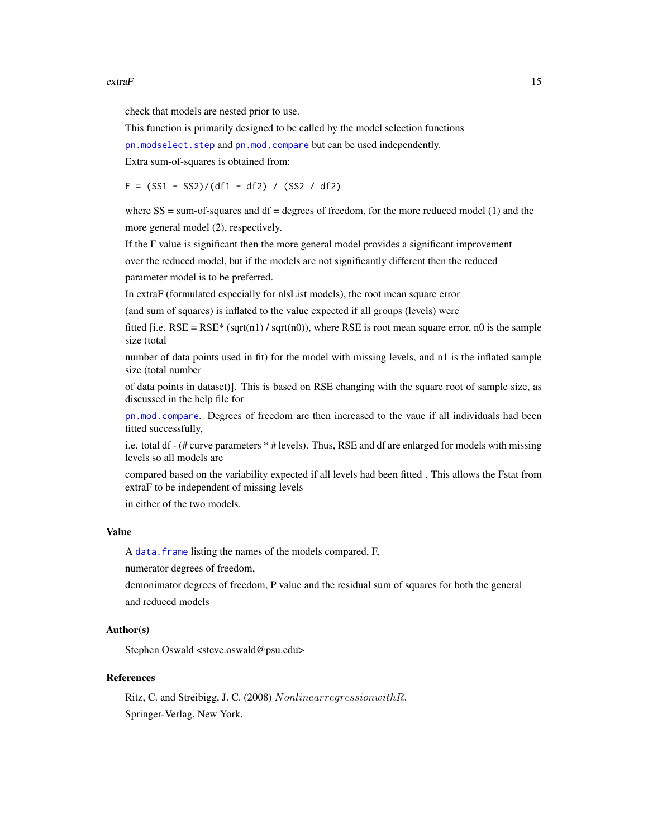#### <span id="page-14-0"></span> $\epsilon$  extraF 15

check that models are nested prior to use.

This function is primarily designed to be called by the model selection functions

[pn.modselect.step](#page-35-1) and [pn.mod.compare](#page-30-1) but can be used independently.

Extra sum-of-squares is obtained from:

 $F = (SS1 - SS2)/(df1 - df2) / (SS2 / df2)$ 

where  $SS = sum-of-squares$  and  $df = degrees of freedom$ , for the more reduced model (1) and the more general model (2), respectively.

If the F value is significant then the more general model provides a significant improvement over the reduced model, but if the models are not significantly different then the reduced parameter model is to be preferred.

In extraF (formulated especially for nlsList models), the root mean square error

(and sum of squares) is inflated to the value expected if all groups (levels) were

fitted [i.e.  $RSE = RSE* (sqrt(1) / sqrt(n0))$ , where RSE is root mean square error, n0 is the sample size (total

number of data points used in fit) for the model with missing levels, and n1 is the inflated sample size (total number

of data points in dataset)]. This is based on RSE changing with the square root of sample size, as discussed in the help file for

[pn.mod.compare](#page-30-1). Degrees of freedom are then increased to the vaue if all individuals had been fitted successfully,

i.e. total df - (# curve parameters \* # levels). Thus, RSE and df are enlarged for models with missing levels so all models are

compared based on the variability expected if all levels had been fitted . This allows the Fstat from extraF to be independent of missing levels

in either of the two models.

#### Value

A data. frame listing the names of the models compared, F,

numerator degrees of freedom,

demonimator degrees of freedom, P value and the residual sum of squares for both the general and reduced models

#### Author(s)

Stephen Oswald <steve.oswald@psu.edu>

#### References

Ritz, C. and Streibigg, J. C. (2008) NonlinearregressionwithR. Springer-Verlag, New York.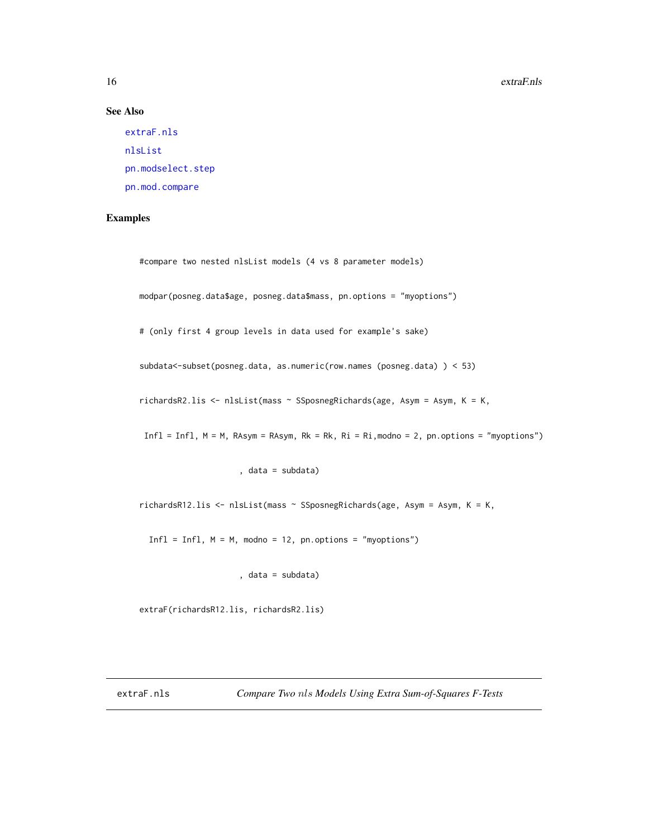#### <span id="page-15-0"></span>16 extraF.nls

#### See Also

[extraF.nls](#page-15-1) [nlsList](#page-0-0) [pn.modselect.step](#page-35-1) [pn.mod.compare](#page-30-1)

#### Examples

#compare two nested nlsList models (4 vs 8 parameter models)

modpar(posneg.data\$age, posneg.data\$mass, pn.options = "myoptions")

# (only first 4 group levels in data used for example's sake)

subdata<-subset(posneg.data, as.numeric(row.names (posneg.data) ) < 53)

richardsR2.lis <- nlsList(mass ~ SSposnegRichards(age, Asym = Asym, K = K,

Infl = Infl, M = M, RAsym = RAsym, Rk = Rk, Ri = Ri,modno = 2, pn.options = "myoptions")

#### , data = subdata)

richardsR12.lis <- nlsList(mass ~ SSposnegRichards(age, Asym = Asym, K = K,

 $Infl = Infl, M = M, modno = 12, pn. options = "myoptions")$ 

, data = subdata)

extraF(richardsR12.lis, richardsR2.lis)

<span id="page-15-1"></span>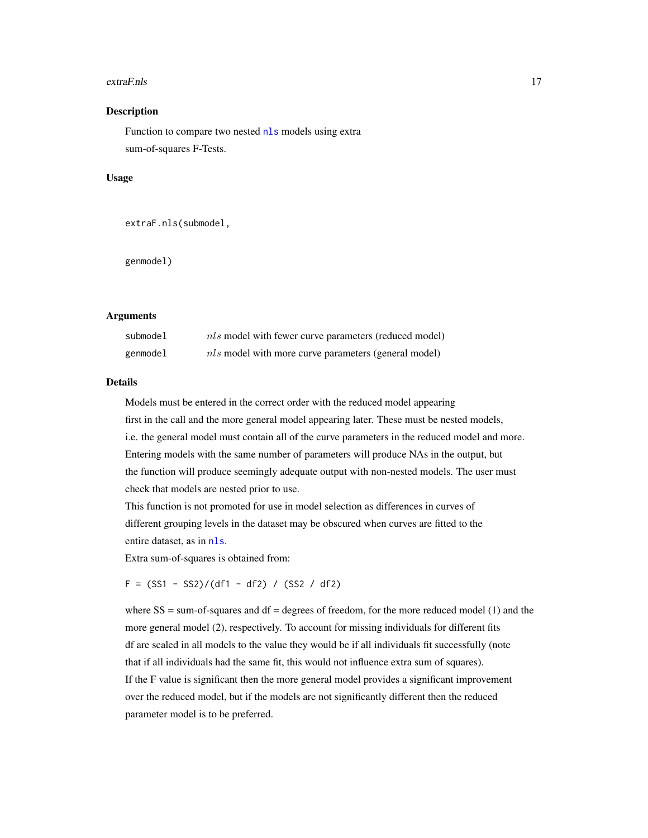#### <span id="page-16-0"></span>extraF.nls 17

#### **Description**

Function to compare two nested [nls](#page-0-0) models using extra sum-of-squares F-Tests.

#### Usage

```
extraF.nls(submodel,
```
genmodel)

#### Arguments

| submodel | <i>nls</i> model with fewer curve parameters (reduced model) |
|----------|--------------------------------------------------------------|
| genmodel | <i>nls</i> model with more curve parameters (general model)  |

#### Details

Models must be entered in the correct order with the reduced model appearing first in the call and the more general model appearing later. These must be nested models, i.e. the general model must contain all of the curve parameters in the reduced model and more. Entering models with the same number of parameters will produce NAs in the output, but the function will produce seemingly adequate output with non-nested models. The user must check that models are nested prior to use.

This function is not promoted for use in model selection as differences in curves of different grouping levels in the dataset may be obscured when curves are fitted to the entire dataset, as in [nls](#page-0-0).

Extra sum-of-squares is obtained from:

 $F = (SS1 - SS2)/(df1 - df2) / (SS2 / df2)$ 

where  $SS = sum-of-squares$  and  $df = degrees of freedom$ , for the more reduced model (1) and the more general model (2), respectively. To account for missing individuals for different fits df are scaled in all models to the value they would be if all individuals fit successfully (note that if all individuals had the same fit, this would not influence extra sum of squares). If the F value is significant then the more general model provides a significant improvement over the reduced model, but if the models are not significantly different then the reduced parameter model is to be preferred.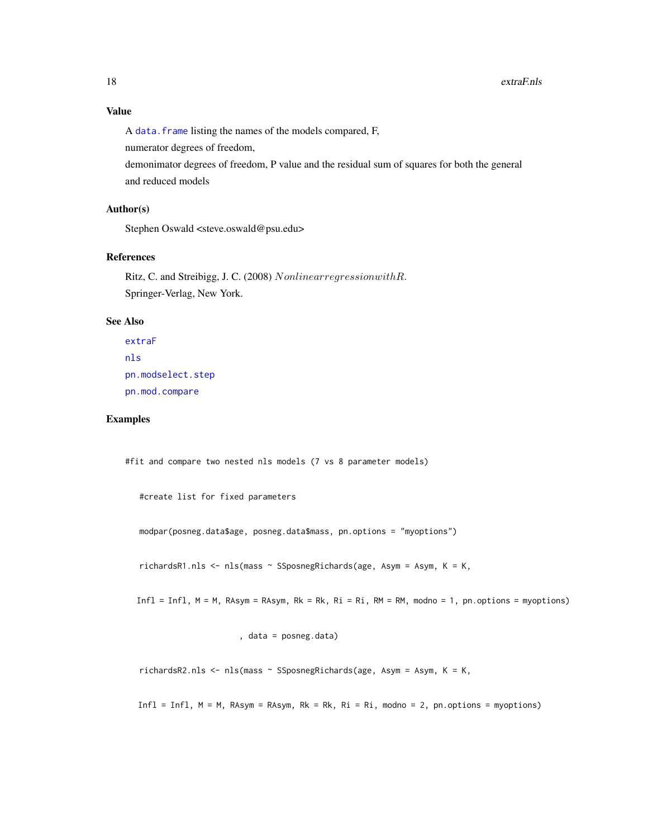<span id="page-17-0"></span>A [data.frame](#page-0-0) listing the names of the models compared, F,

numerator degrees of freedom,

demonimator degrees of freedom, P value and the residual sum of squares for both the general and reduced models

#### Author(s)

Stephen Oswald <steve.oswald@psu.edu>

#### References

Ritz, C. and Streibigg, J. C. (2008) NonlinearregressionwithR. Springer-Verlag, New York.

#### See Also

```
extraF
nls
pn.modselect.step
pn.mod.compare
```
#### Examples

#fit and compare two nested nls models (7 vs 8 parameter models)

```
#create list for fixed parameters
```
modpar(posneg.data\$age, posneg.data\$mass, pn.options = "myoptions")

richardsR1.nls <- nls(mass ~ SSposnegRichards(age, Asym = Asym, K = K,

 $Infl = Infl, M = M, RAsym = RAsym, Rk = Rk, Ri = Ri, RM = RM, modno = 1, pn. options = myoptions)$ 

, data = posneg.data)

richardsR2.nls <- nls(mass ~ SSposnegRichards(age, Asym = Asym, K = K,

Infl = Infl,  $M = M$ , RAsym = RAsym, Rk = Rk, Ri = Ri, modno = 2, pn.options = myoptions)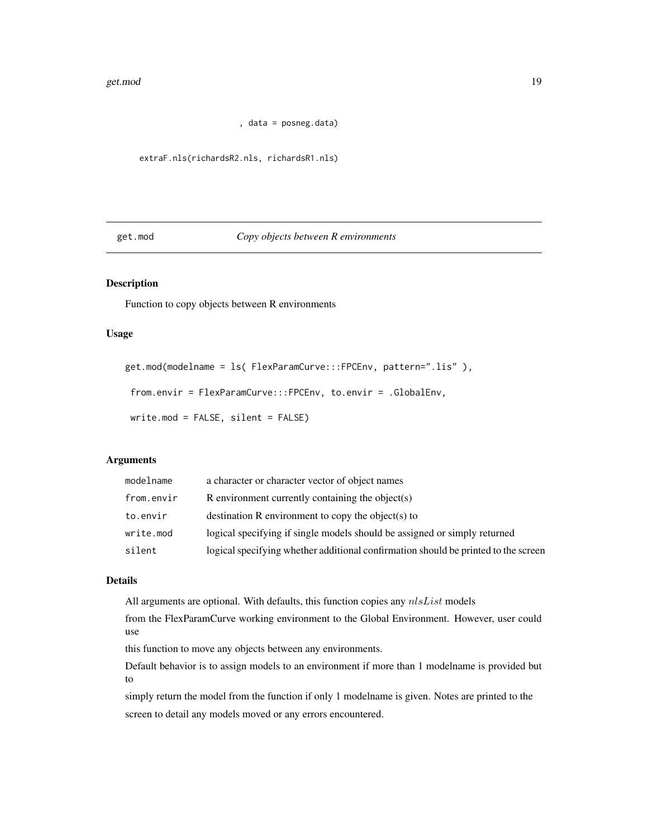```
, data = posneg.data)
```
<span id="page-18-0"></span>extraF.nls(richardsR2.nls, richardsR1.nls)

#### get.mod *Copy objects between R environments*

#### Description

Function to copy objects between R environments

#### Usage

```
get.mod(modelname = ls( FlexParamCurve:::FPCEnv, pattern=".lis" ),
from.envir = FlexParamCurve:::FPCEnv, to.envir = .GlobalEnv,
```

```
write.mod = FALSE, silent = FALSE)
```
#### Arguments

| modelname  | a character or character vector of object names                                    |
|------------|------------------------------------------------------------------------------------|
| from.envir | R environment currently containing the object(s)                                   |
| to.envir   | destination R environment to copy the object(s) to                                 |
| write.mod  | logical specifying if single models should be assigned or simply returned          |
| silent     | logical specifying whether additional confirmation should be printed to the screen |

#### Details

All arguments are optional. With defaults, this function copies any  $nlsList$  models

from the FlexParamCurve working environment to the Global Environment. However, user could use

this function to move any objects between any environments.

Default behavior is to assign models to an environment if more than 1 modelname is provided but to

simply return the model from the function if only 1 modelname is given. Notes are printed to the screen to detail any models moved or any errors encountered.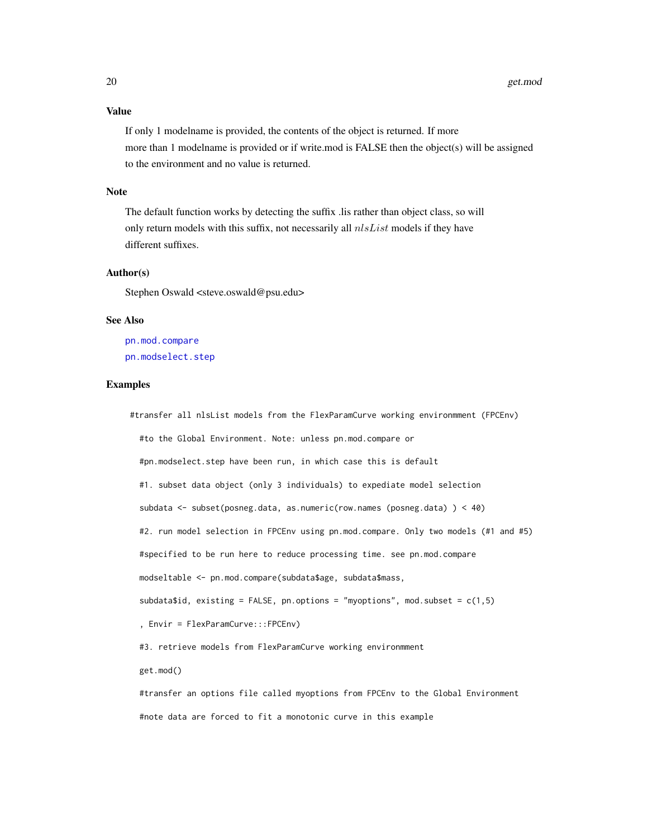#### <span id="page-19-0"></span>Value

If only 1 modelname is provided, the contents of the object is returned. If more more than 1 modelname is provided or if write.mod is FALSE then the object(s) will be assigned to the environment and no value is returned.

#### Note

The default function works by detecting the suffix .lis rather than object class, so will only return models with this suffix, not necessarily all  $nlsList$  models if they have different suffixes.

#### Author(s)

Stephen Oswald <steve.oswald@psu.edu>

#### See Also

[pn.mod.compare](#page-30-1) [pn.modselect.step](#page-35-1)

#### Examples

#transfer all nlsList models from the FlexParamCurve working environmment (FPCEnv) #to the Global Environment. Note: unless pn.mod.compare or #pn.modselect.step have been run, in which case this is default #1. subset data object (only 3 individuals) to expediate model selection subdata <- subset(posneg.data, as.numeric(row.names (posneg.data) ) < 40) #2. run model selection in FPCEnv using pn.mod.compare. Only two models (#1 and #5) #specified to be run here to reduce processing time. see pn.mod.compare modseltable <- pn.mod.compare(subdata\$age, subdata\$mass, subdata\$id, existing = FALSE, pn.options = "myoptions", mod.subset =  $c(1,5)$ , Envir = FlexParamCurve:::FPCEnv) #3. retrieve models from FlexParamCurve working environmment get.mod() #transfer an options file called myoptions from FPCEnv to the Global Environment

#note data are forced to fit a monotonic curve in this example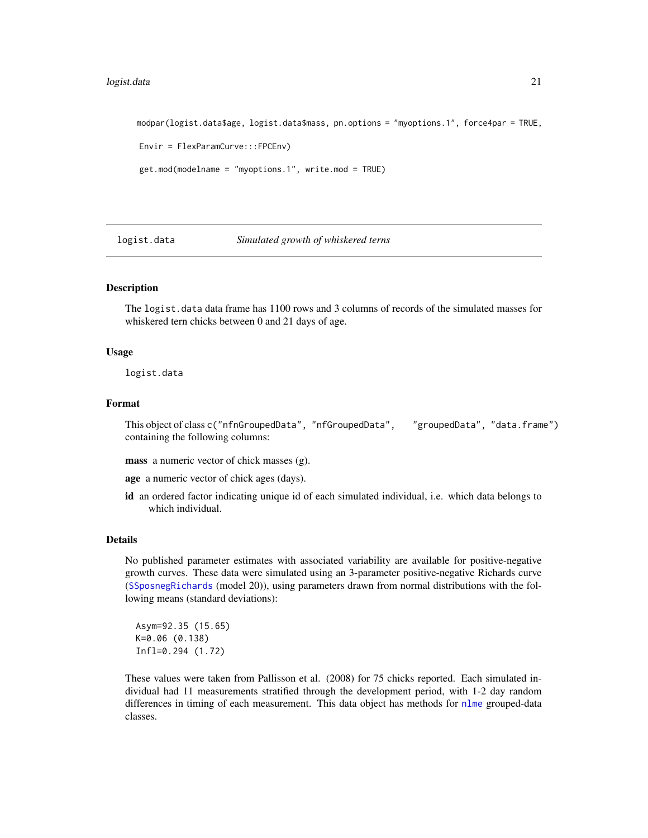#### <span id="page-20-0"></span>logist.data 21

```
modpar(logist.data$age, logist.data$mass, pn.options = "myoptions.1", force4par = TRUE,
Envir = FlexParamCurve:::FPCEnv)
get.mod(modelname = "myoptions.1", write.mod = TRUE)
```
#### logist.data *Simulated growth of whiskered terns*

#### **Description**

The logist.data data frame has 1100 rows and 3 columns of records of the simulated masses for whiskered tern chicks between 0 and 21 days of age.

#### Usage

logist.data

#### Format

This object of class c("nfnGroupedData", "nfGroupedData", "groupedData", "data.frame") containing the following columns:

mass a numeric vector of chick masses (g).

age a numeric vector of chick ages (days).

id an ordered factor indicating unique id of each simulated individual, i.e. which data belongs to which individual.

#### Details

No published parameter estimates with associated variability are available for positive-negative growth curves. These data were simulated using an 3-parameter positive-negative Richards curve ([SSposnegRichards](#page-48-1) (model 20)), using parameters drawn from normal distributions with the following means (standard deviations):

Asym=92.35 (15.65) K=0.06 (0.138) Infl=0.294 (1.72)

These values were taken from Pallisson et al. (2008) for 75 chicks reported. Each simulated individual had 11 measurements stratified through the development period, with 1-2 day random differences in timing of each measurement. This data object has methods for [nlme](#page-0-0) grouped-data classes.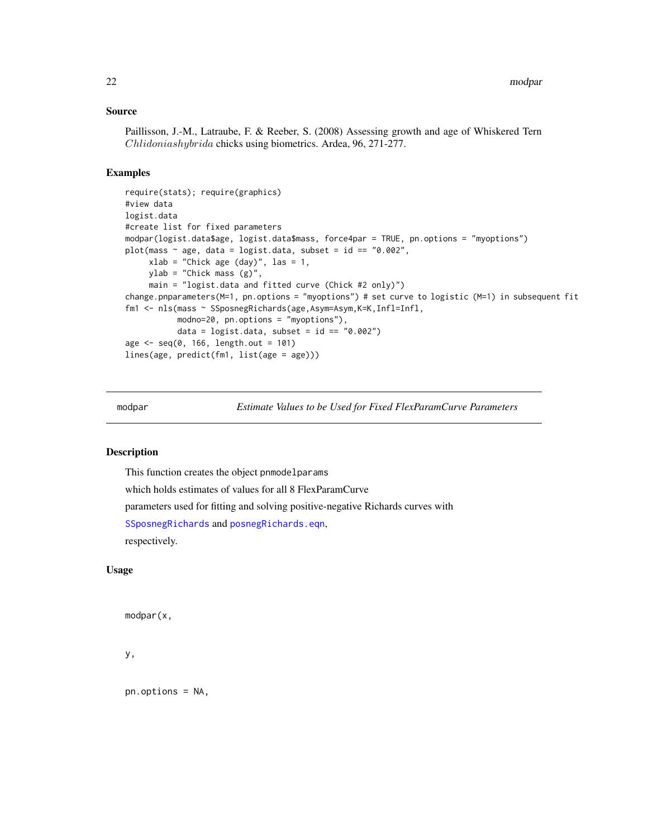#### <span id="page-21-0"></span>Source

Paillisson, J.-M., Latraube, F. & Reeber, S. (2008) Assessing growth and age of Whiskered Tern Chlidoniashybrida chicks using biometrics. Ardea, 96, 271-277.

#### Examples

```
require(stats); require(graphics)
#view data
logist.data
#create list for fixed parameters
modpar(logist.data$age, logist.data$mass, force4par = TRUE, pn.options = "myoptions")
plot(mass ~ age, data = logist.data, subset = id == "0.002",
     xlab = "Chick age (day)", las = 1,ylab = "Chick mass (g)",
     main = "logist.data and fitted curve (Chick #2 only)")
change.pnparameters(M=1, pn.options = "myoptions") # set curve to logistic (M=1) in subsequent fit
fm1 <- nls(mass ~ SSposnegRichards(age,Asym=Asym,K=K,Infl=Infl,
           modno=20, pn.options = "myoptions"),
           data = logist.data, subset = id == "0.002")age < - seq(0, 166, length.out = 101)lines(age, predict(fm1, list(age = age)))
```
<span id="page-21-1"></span>

modpar *Estimate Values to be Used for Fixed FlexParamCurve Parameters*

#### Description

This function creates the object pnmodelparams

which holds estimates of values for all 8 FlexParamCurve

parameters used for fitting and solving positive-negative Richards curves with

[SSposnegRichards](#page-48-1) and [posnegRichards.eqn](#page-43-1),

respectively.

#### Usage

modpar(x,

y,

pn.options = NA,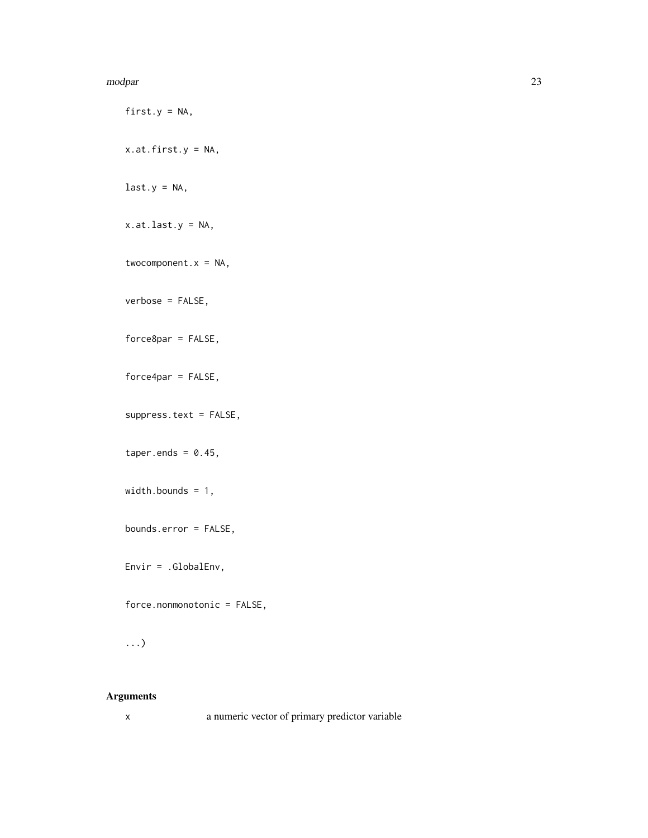#### modpar 23

first.y =  $NA$ , x.at.first.y = NA,  $last.y = NA,$ x.at.last.y = NA, twocomponent. $x = NA$ , verbose = FALSE, force8par = FALSE, force4par = FALSE, suppress.text = FALSE, taper.ends =  $0.45$ , width.bounds = 1, bounds.error = FALSE, Envir = .GlobalEnv, force.nonmonotonic = FALSE,

## ...)

#### Arguments

x a numeric vector of primary predictor variable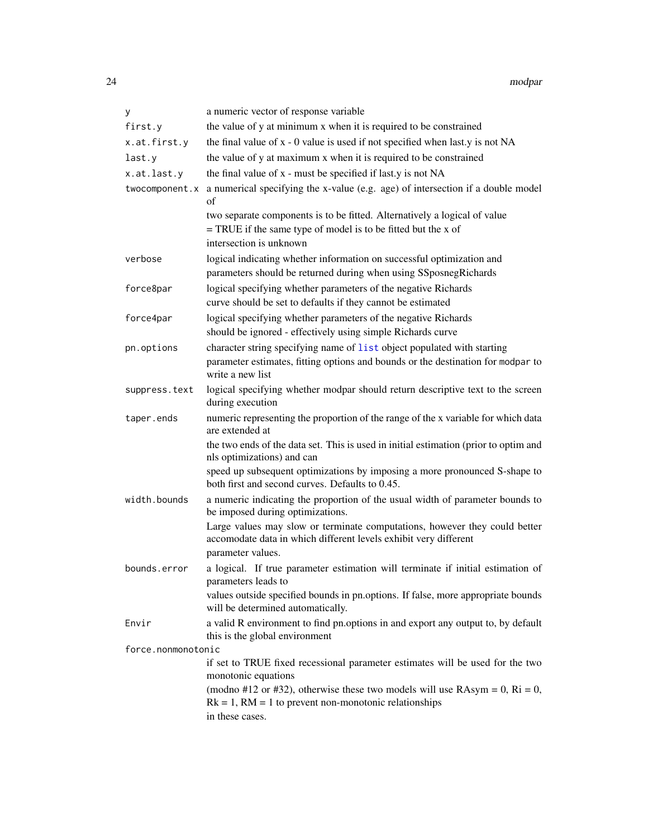<span id="page-23-0"></span>

| У                  | a numeric vector of response variable                                                                                                                                           |
|--------------------|---------------------------------------------------------------------------------------------------------------------------------------------------------------------------------|
| first.y            | the value of y at minimum x when it is required to be constrained                                                                                                               |
| x.at.first.y       | the final value of $x - 0$ value is used if not specified when last y is not NA                                                                                                 |
| last.y             | the value of y at maximum x when it is required to be constrained                                                                                                               |
| x.at.last.y        | the final value of x - must be specified if last y is not NA                                                                                                                    |
| twocomponent.x     | a numerical specifying the x-value (e.g. age) of intersection if a double model<br>of                                                                                           |
|                    | two separate components is to be fitted. Alternatively a logical of value<br>$=$ TRUE if the same type of model is to be fitted but the x of<br>intersection is unknown         |
| verbose            | logical indicating whether information on successful optimization and<br>parameters should be returned during when using SSposnegRichards                                       |
| force8par          | logical specifying whether parameters of the negative Richards<br>curve should be set to defaults if they cannot be estimated                                                   |
| force4par          | logical specifying whether parameters of the negative Richards<br>should be ignored - effectively using simple Richards curve                                                   |
| pn.options         | character string specifying name of list object populated with starting<br>parameter estimates, fitting options and bounds or the destination for modpar to<br>write a new list |
| suppress.text      | logical specifying whether modpar should return descriptive text to the screen<br>during execution                                                                              |
| taper.ends         | numeric representing the proportion of the range of the x variable for which data<br>are extended at                                                                            |
|                    | the two ends of the data set. This is used in initial estimation (prior to optim and<br>nls optimizations) and can                                                              |
|                    | speed up subsequent optimizations by imposing a more pronounced S-shape to<br>both first and second curves. Defaults to 0.45.                                                   |
| width.bounds       | a numeric indicating the proportion of the usual width of parameter bounds to<br>be imposed during optimizations.                                                               |
|                    | Large values may slow or terminate computations, however they could better<br>accomodate data in which different levels exhibit very different<br>parameter values.             |
| bounds.error       | a logical. If true parameter estimation will terminate if initial estimation of<br>parameters leads to                                                                          |
|                    | values outside specified bounds in pn.options. If false, more appropriate bounds<br>will be determined automatically.                                                           |
| Envir              | a valid R environment to find pn.options in and export any output to, by default<br>this is the global environment                                                              |
| force.nonmonotonic |                                                                                                                                                                                 |
|                    | if set to TRUE fixed recessional parameter estimates will be used for the two<br>monotonic equations                                                                            |
|                    | (modno #12 or #32), otherwise these two models will use $RAsym = 0$ , $Ri = 0$ ,<br>$Rk = 1$ , $RM = 1$ to prevent non-monotonic relationships                                  |
|                    | in these cases.                                                                                                                                                                 |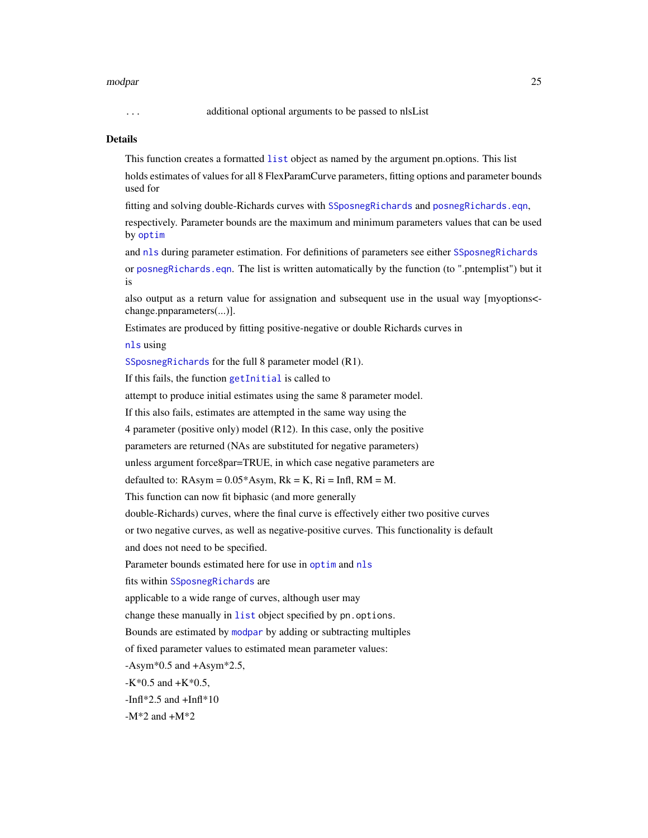#### <span id="page-24-0"></span>modpar 25

#### ... additional optional arguments to be passed to nlsList

#### Details

This function creates a formatted [list](#page-0-0) object as named by the argument pn.options. This list holds estimates of values for all 8 FlexParamCurve parameters, fitting options and parameter bounds used for

fitting and solving double-Richards curves with [SSposnegRichards](#page-48-1) and [posnegRichards.eqn](#page-43-1),

respectively. Parameter bounds are the maximum and minimum parameters values that can be used by [optim](#page-0-0)

and [nls](#page-0-0) during parameter estimation. For definitions of parameters see either [SSposnegRichards](#page-48-1) or [posnegRichards.eqn](#page-43-1). The list is written automatically by the function (to ".pntemplist") but it is

also output as a return value for assignation and subsequent use in the usual way [myoptions< change.pnparameters(...)].

Estimates are produced by fitting positive-negative or double Richards curves in

[nls](#page-0-0) using

[SSposnegRichards](#page-48-1) for the full 8 parameter model (R1).

If this fails, the function [getInitial](#page-0-0) is called to

attempt to produce initial estimates using the same 8 parameter model.

If this also fails, estimates are attempted in the same way using the

4 parameter (positive only) model (R12). In this case, only the positive

parameters are returned (NAs are substituted for negative parameters)

unless argument force8par=TRUE, in which case negative parameters are

defaulted to:  $RAsym = 0.05*Asym$ ,  $Rk = K$ ,  $Ri = Infl$ ,  $RM = M$ .

This function can now fit biphasic (and more generally

double-Richards) curves, where the final curve is effectively either two positive curves

or two negative curves, as well as negative-positive curves. This functionality is default and does not need to be specified.

Parameter bounds estimated here for use in [optim](#page-0-0) and [nls](#page-0-0)

fits within [SSposnegRichards](#page-48-1) are

applicable to a wide range of curves, although user may

change these manually in [list](#page-0-0) object specified by pn. options.

Bounds are estimated by [modpar](#page-21-1) by adding or subtracting multiples

of fixed parameter values to estimated mean parameter values:

 $-Asym*0.5$  and  $+Asym*2.5$ ,

 $-K*0.5$  and  $+K*0.5$ ,

 $-Infl*2.5$  and  $+Infl*10$ 

 $-M*2$  and  $+M*2$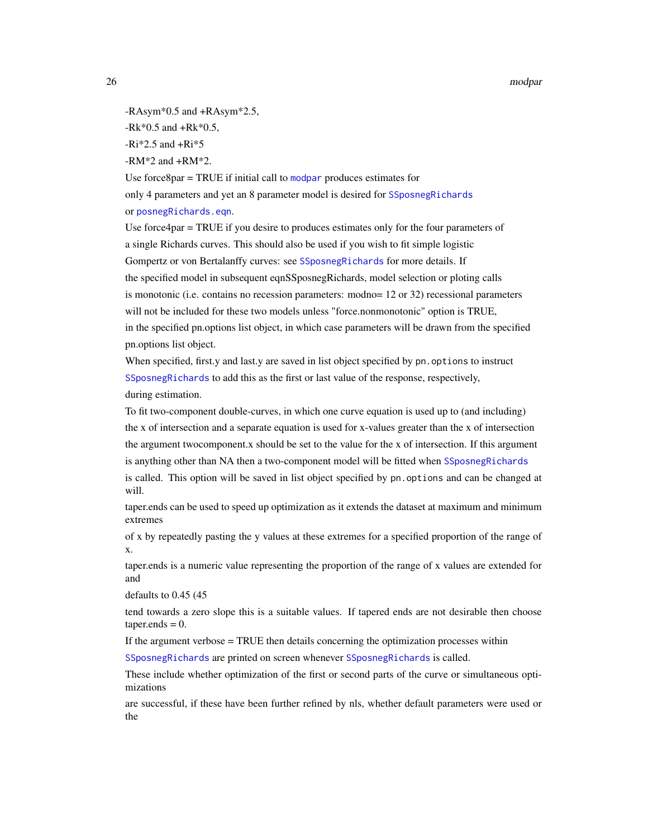<span id="page-25-0"></span>26 modpar modpar modpar modpar modpar modpar modpar modpar modpar modpar modpar modpar modpar modpar

-RAsym\*0.5 and +RAsym\*2.5,

 $-Rk*0.5$  and  $+Rk*0.5$ ,

 $-Ri*2.5$  and  $+Ri*5$ 

 $-RM*2$  and  $+RM*2$ .

Use force $8$ par = TRUE if initial call to [modpar](#page-21-1) produces estimates for only 4 parameters and yet an 8 parameter model is desired for [SSposnegRichards](#page-48-1) or [posnegRichards.eqn](#page-43-1).

Use force4par = TRUE if you desire to produces estimates only for the four parameters of a single Richards curves. This should also be used if you wish to fit simple logistic Gompertz or von Bertalanffy curves: see [SSposnegRichards](#page-48-1) for more details. If the specified model in subsequent eqnSSposnegRichards, model selection or ploting calls is monotonic (i.e. contains no recession parameters: modno= 12 or 32) recessional parameters will not be included for these two models unless "force.nonmonotonic" option is TRUE, in the specified pn.options list object, in which case parameters will be drawn from the specified pn.options list object.

When specified, first.y and last.y are saved in list object specified by pn. options to instruct [SSposnegRichards](#page-48-1) to add this as the first or last value of the response, respectively, during estimation.

To fit two-component double-curves, in which one curve equation is used up to (and including) the x of intersection and a separate equation is used for x-values greater than the x of intersection the argument twocomponent.x should be set to the value for the x of intersection. If this argument is anything other than NA then a two-component model will be fitted when [SSposnegRichards](#page-48-1) is called. This option will be saved in list object specified by pn. options and can be changed at will.

taper.ends can be used to speed up optimization as it extends the dataset at maximum and minimum extremes

of x by repeatedly pasting the y values at these extremes for a specified proportion of the range of x.

taper.ends is a numeric value representing the proportion of the range of x values are extended for and

defaults to 0.45 (45

tend towards a zero slope this is a suitable values. If tapered ends are not desirable then choose  $taper. ends = 0.$ 

If the argument verbose = TRUE then details concerning the optimization processes within

[SSposnegRichards](#page-48-1) are printed on screen whenever [SSposnegRichards](#page-48-1) is called.

These include whether optimization of the first or second parts of the curve or simultaneous optimizations

are successful, if these have been further refined by nls, whether default parameters were used or the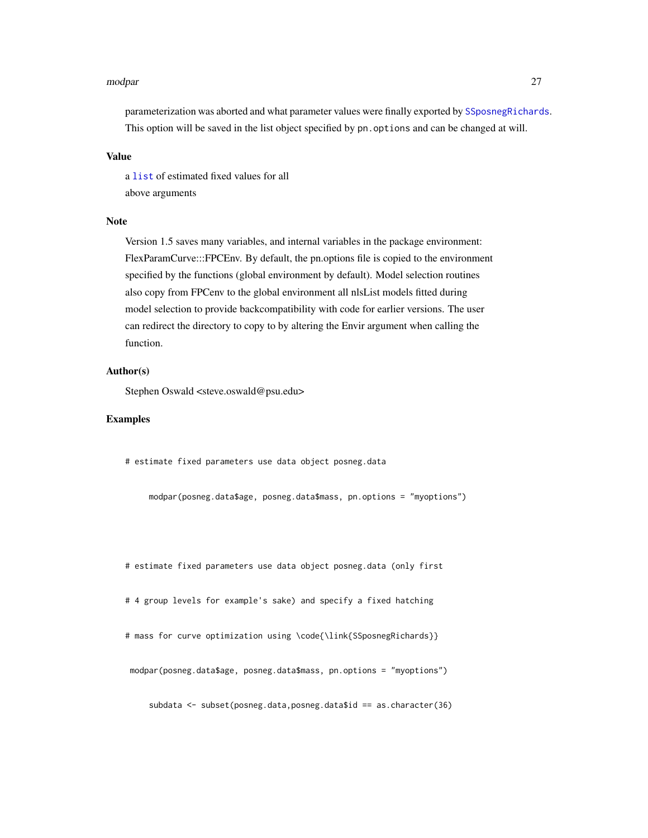#### <span id="page-26-0"></span>modpar 27

parameterization was aborted and what parameter values were finally exported by [SSposnegRichards](#page-48-1). This option will be saved in the list object specified by pn. options and can be changed at will.

#### Value

a [list](#page-0-0) of estimated fixed values for all above arguments

#### Note

Version 1.5 saves many variables, and internal variables in the package environment: FlexParamCurve:::FPCEnv. By default, the pn.options file is copied to the environment specified by the functions (global environment by default). Model selection routines also copy from FPCenv to the global environment all nlsList models fitted during model selection to provide backcompatibility with code for earlier versions. The user can redirect the directory to copy to by altering the Envir argument when calling the function.

#### Author(s)

Stephen Oswald <steve.oswald@psu.edu>

#### Examples

# estimate fixed parameters use data object posneg.data

modpar(posneg.data\$age, posneg.data\$mass, pn.options = "myoptions")

# estimate fixed parameters use data object posneg.data (only first

# 4 group levels for example's sake) and specify a fixed hatching

# mass for curve optimization using \code{\link{SSposnegRichards}}

modpar(posneg.data\$age, posneg.data\$mass, pn.options = "myoptions")

subdata <- subset(posneg.data,posneg.data\$id == as.character(36)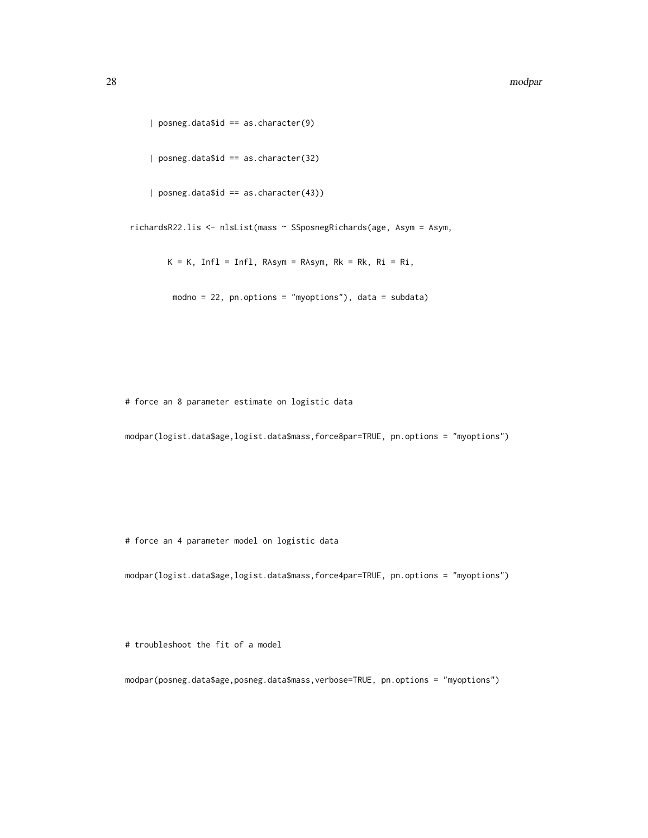#### 28 modpar modpar modpar modpar modpar modpar modpar modpar modpar modpar modpar modpar modpar modpar

```
| posneg.data$id == as.character(9)
    | posneg.data$id == as.character(32)
    | posneg.data$id == as.character(43))
richardsR22.lis <- nlsList(mass ~ SSposnegRichards(age, Asym = Asym,
       K = K, Infl = Infl, RAsym = RAsym, Rk = Rk, Ri = Ri,
        modno = 22, pn.options = "myoptions"), data = subdata)
```
# force an 8 parameter estimate on logistic data

modpar(logist.data\$age,logist.data\$mass,force8par=TRUE, pn.options = "myoptions")

# force an 4 parameter model on logistic data

modpar(logist.data\$age,logist.data\$mass,force4par=TRUE, pn.options = "myoptions")

# troubleshoot the fit of a model

modpar(posneg.data\$age,posneg.data\$mass,verbose=TRUE, pn.options = "myoptions")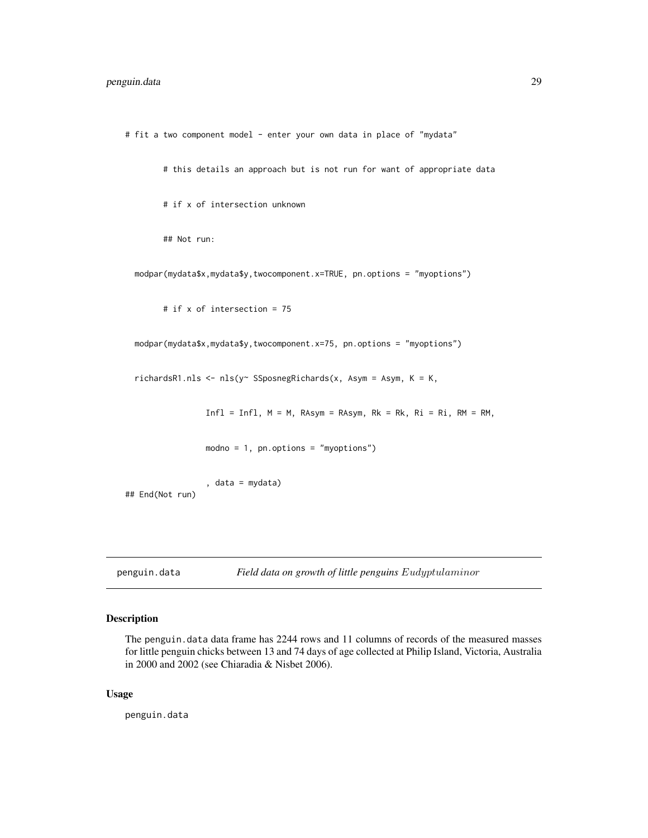```
# fit a two component model - enter your own data in place of "mydata"
       # this details an approach but is not run for want of appropriate data
       # if x of intersection unknown
       ## Not run:
 modpar(mydata$x,mydata$y,twocomponent.x=TRUE, pn.options = "myoptions")
       # if x of intersection = 75
 modpar(mydata$x,mydata$y,twocomponent.x=75, pn.options = "myoptions")
 richardsR1.nls <- nls(y~ SSposnegRichards(x, Asym = Asym, K = K,
                 Infl = Infl, M = M, RAsym = RAsym, Rk = Rk, Ri = Ri, RM = RM,modno = 1, pn.options = "myoptions")
                 , data = mydata)
## End(Not run)
```
penguin.data *Field data on growth of little penguins* Eudyptulaminor

#### Description

The penguin.data data frame has 2244 rows and 11 columns of records of the measured masses for little penguin chicks between 13 and 74 days of age collected at Philip Island, Victoria, Australia in 2000 and 2002 (see Chiaradia & Nisbet 2006).

#### Usage

penguin.data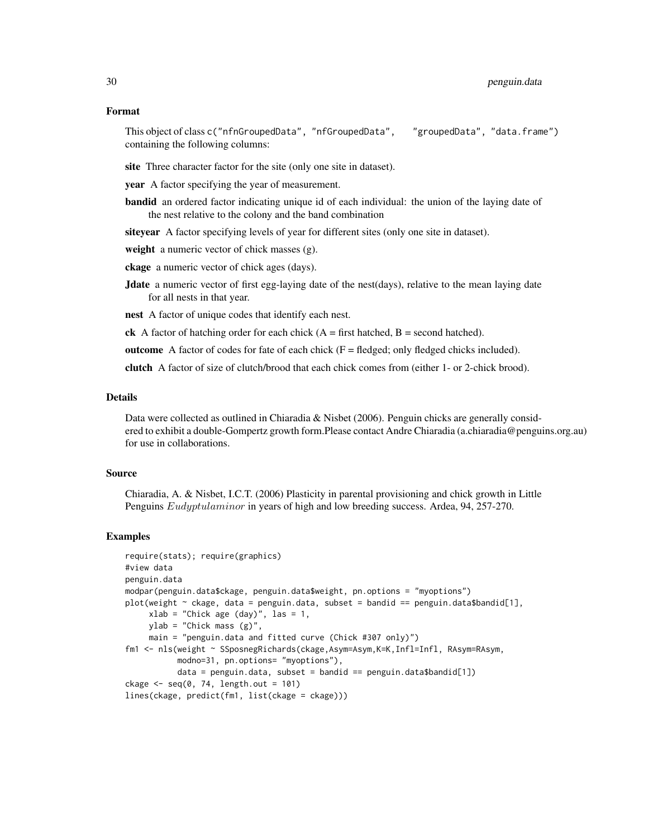#### Format

This object of class c("nfnGroupedData", "nfGroupedData", "groupedData", "data.frame") containing the following columns:

site Three character factor for the site (only one site in dataset).

year A factor specifying the year of measurement.

bandid an ordered factor indicating unique id of each individual: the union of the laying date of the nest relative to the colony and the band combination

siteyear A factor specifying levels of year for different sites (only one site in dataset).

weight a numeric vector of chick masses (g).

ckage a numeric vector of chick ages (days).

**Jdate** a numeric vector of first egg-laying date of the nest(days), relative to the mean laying date for all nests in that year.

nest A factor of unique codes that identify each nest.

ck A factor of hatching order for each chick  $(A = first$  hatched,  $B = second$  hatched).

outcome A factor of codes for fate of each chick  $(F = \text{fledged}; \text{only fledged chicks included}).$ 

clutch A factor of size of clutch/brood that each chick comes from (either 1- or 2-chick brood).

#### Details

Data were collected as outlined in Chiaradia & Nisbet (2006). Penguin chicks are generally considered to exhibit a double-Gompertz growth form.Please contact Andre Chiaradia (a.chiaradia@penguins.org.au) for use in collaborations.

#### Source

Chiaradia, A. & Nisbet, I.C.T. (2006) Plasticity in parental provisioning and chick growth in Little Penguins *Eudyptulaminor* in years of high and low breeding success. Ardea, 94, 257-270.

#### Examples

```
require(stats); require(graphics)
#view data
penguin.data
modpar(penguin.data$ckage, penguin.data$weight, pn.options = "myoptions")
plot(weight \sim ckage, data = penguin.data, subset = bandid == penguin.data$bandid[1],
     xlab = "Chick age (day)", las = 1,ylab = "Chick mass (g)",
     main = "penguin.data and fitted curve (Chick #307 only)")
fm1 <- nls(weight ~ SSposnegRichards(ckage,Asym=Asym,K=K,Infl=Infl, RAsym=RAsym,
           modno=31, pn.options= "myoptions"),
           data = penguin.data, subset = bandid == penguin.data$bandid[1])
ckage \leq seq(0, 74, length.out = 101)
lines(ckage, predict(fm1, list(ckage = ckage)))
```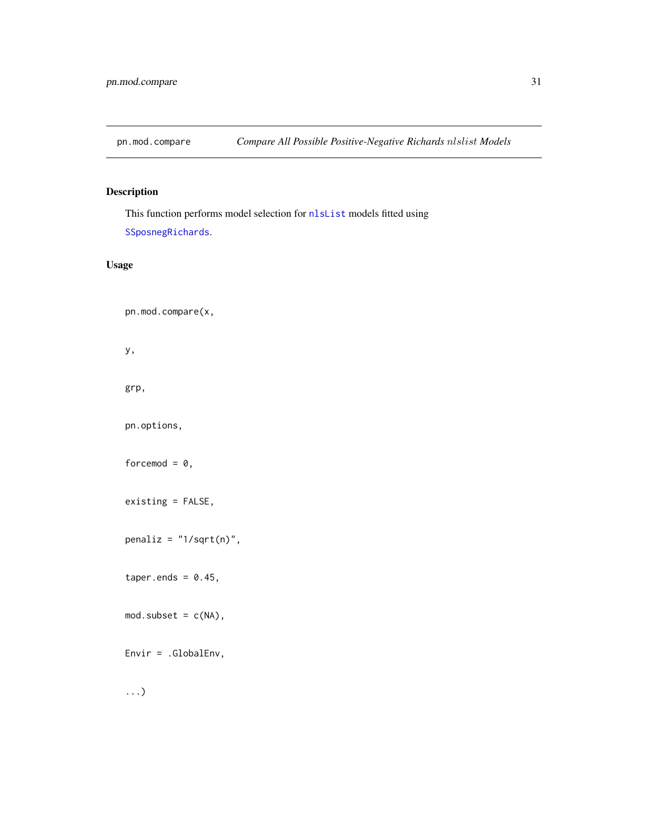<span id="page-30-1"></span><span id="page-30-0"></span>

### Description

This function performs model selection for [nlsList](#page-0-0) models fitted using [SSposnegRichards](#page-48-1).

#### Usage

pn.mod.compare(x,

y,

grp,

pn.options,

forcemod =  $0$ ,

existing = FALSE,

penaliz = "1/sqrt(n)",

taper.ends =  $0.45$ ,

 $mod.subset = c(NA),$ 

Envir = .GlobalEnv,

...)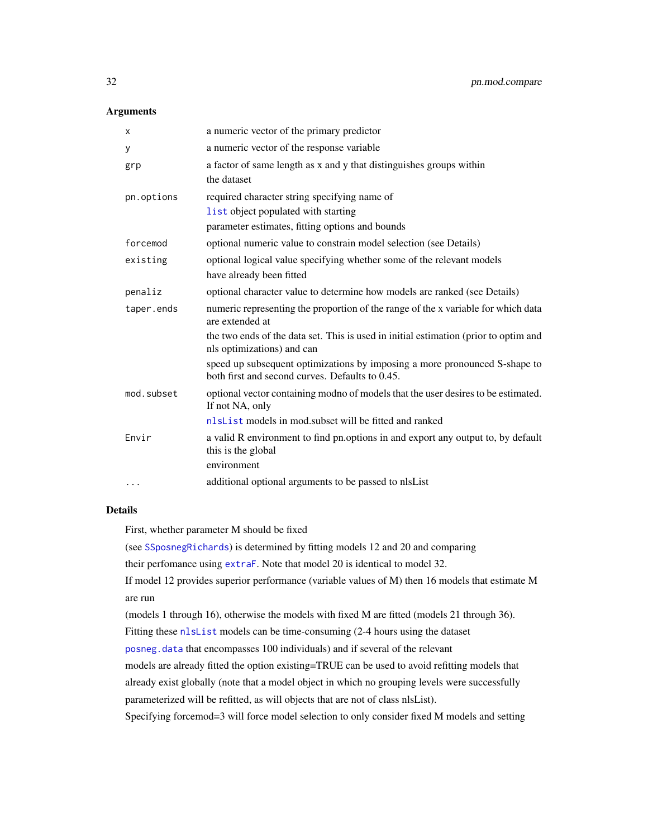#### <span id="page-31-0"></span>**Arguments**

| X          | a numeric vector of the primary predictor                                                                                     |
|------------|-------------------------------------------------------------------------------------------------------------------------------|
| у          | a numeric vector of the response variable                                                                                     |
| grp        | a factor of same length as x and y that distinguishes groups within                                                           |
|            | the dataset                                                                                                                   |
| pn.options | required character string specifying name of                                                                                  |
|            | list object populated with starting                                                                                           |
|            | parameter estimates, fitting options and bounds                                                                               |
| forcemod   | optional numeric value to constrain model selection (see Details)                                                             |
| existing   | optional logical value specifying whether some of the relevant models                                                         |
|            | have already been fitted                                                                                                      |
| penaliz    | optional character value to determine how models are ranked (see Details)                                                     |
| taper.ends | numeric representing the proportion of the range of the x variable for which data<br>are extended at                          |
|            | the two ends of the data set. This is used in initial estimation (prior to optim and<br>nls optimizations) and can            |
|            | speed up subsequent optimizations by imposing a more pronounced S-shape to<br>both first and second curves. Defaults to 0.45. |
| mod.subset | optional vector containing modno of models that the user desires to be estimated.<br>If not NA, only                          |
|            | nlsList models in mod.subset will be fitted and ranked                                                                        |
| Envir      | a valid R environment to find pn.options in and export any output to, by default<br>this is the global                        |
|            | environment                                                                                                                   |
| $\cdots$   | additional optional arguments to be passed to nlsList                                                                         |

#### Details

First, whether parameter M should be fixed

(see [SSposnegRichards](#page-48-1)) is determined by fitting models 12 and 20 and comparing

their perfomance using [extraF](#page-13-1). Note that model 20 is identical to model 32.

If model 12 provides superior performance (variable values of M) then 16 models that estimate M are run

(models 1 through 16), otherwise the models with fixed M are fitted (models 21 through 36).

Fitting these [nlsList](#page-0-0) models can be time-consuming (2-4 hours using the dataset

[posneg.data](#page-40-1) that encompasses 100 individuals) and if several of the relevant

models are already fitted the option existing=TRUE can be used to avoid refitting models that

already exist globally (note that a model object in which no grouping levels were successfully

parameterized will be refitted, as will objects that are not of class nlsList).

Specifying forcemod=3 will force model selection to only consider fixed M models and setting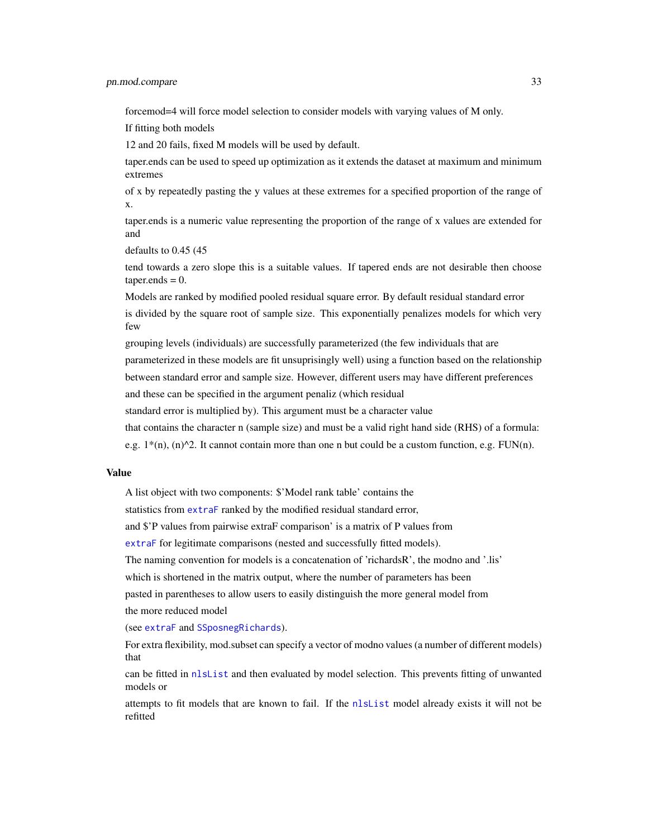forcemod=4 will force model selection to consider models with varying values of M only.

If fitting both models

12 and 20 fails, fixed M models will be used by default.

taper.ends can be used to speed up optimization as it extends the dataset at maximum and minimum extremes

of x by repeatedly pasting the y values at these extremes for a specified proportion of the range of x.

taper.ends is a numeric value representing the proportion of the range of x values are extended for and

defaults to 0.45 (45

tend towards a zero slope this is a suitable values. If tapered ends are not desirable then choose  $taper. ends = 0.$ 

Models are ranked by modified pooled residual square error. By default residual standard error is divided by the square root of sample size. This exponentially penalizes models for which very few

grouping levels (individuals) are successfully parameterized (the few individuals that are parameterized in these models are fit unsuprisingly well) using a function based on the relationship between standard error and sample size. However, different users may have different preferences and these can be specified in the argument penaliz (which residual

standard error is multiplied by). This argument must be a character value

that contains the character n (sample size) and must be a valid right hand side (RHS) of a formula:

e.g.  $1*(n)$ ,  $(n)^2$ . It cannot contain more than one n but could be a custom function, e.g. FUN(n).

#### Value

A list object with two components: \$'Model rank table' contains the

statistics from [extraF](#page-13-1) ranked by the modified residual standard error,

and \$'P values from pairwise extraF comparison' is a matrix of P values from

[extraF](#page-13-1) for legitimate comparisons (nested and successfully fitted models).

The naming convention for models is a concatenation of 'richardsR', the modno and '.lis'

which is shortened in the matrix output, where the number of parameters has been

pasted in parentheses to allow users to easily distinguish the more general model from the more reduced model

(see [extraF](#page-13-1) and [SSposnegRichards](#page-48-1)).

For extra flexibility, mod.subset can specify a vector of modno values (a number of different models) that

can be fitted in [nlsList](#page-0-0) and then evaluated by model selection. This prevents fitting of unwanted models or

attempts to fit models that are known to fail. If the [nlsList](#page-0-0) model already exists it will not be refitted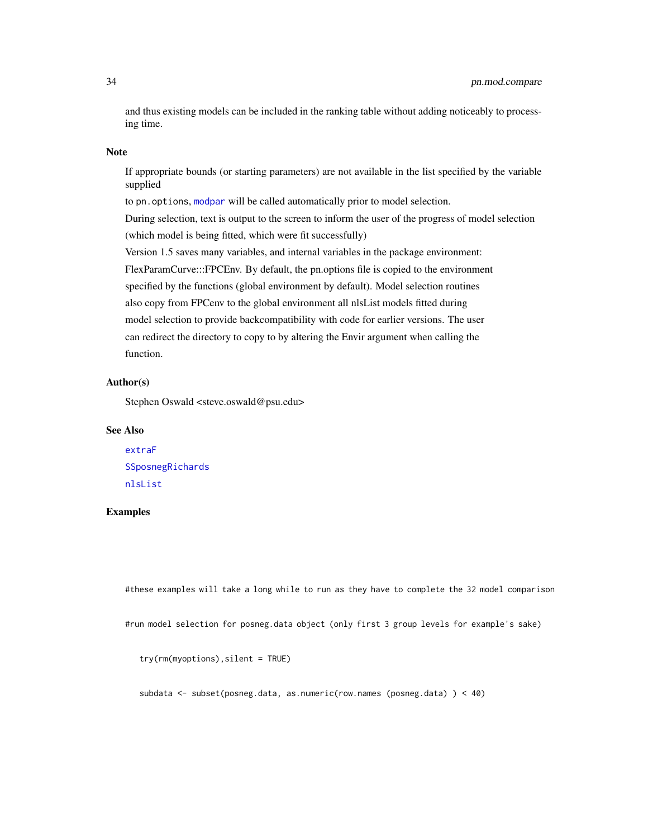<span id="page-33-0"></span>and thus existing models can be included in the ranking table without adding noticeably to processing time.

#### Note

If appropriate bounds (or starting parameters) are not available in the list specified by the variable supplied

to pn. options, [modpar](#page-21-1) will be called automatically prior to model selection.

During selection, text is output to the screen to inform the user of the progress of model selection (which model is being fitted, which were fit successfully)

Version 1.5 saves many variables, and internal variables in the package environment:

FlexParamCurve:::FPCEnv. By default, the pn.options file is copied to the environment specified by the functions (global environment by default). Model selection routines also copy from FPCenv to the global environment all nlsList models fitted during model selection to provide backcompatibility with code for earlier versions. The user can redirect the directory to copy to by altering the Envir argument when calling the function.

#### Author(s)

Stephen Oswald <steve.oswald@psu.edu>

#### See Also

[extraF](#page-13-1) [SSposnegRichards](#page-48-1) [nlsList](#page-0-0)

#### Examples

#these examples will take a long while to run as they have to complete the 32 model comparison

#run model selection for posneg.data object (only first 3 group levels for example's sake)

```
try(rm(myoptions),silent = TRUE)
```
subdata <- subset(posneg.data, as.numeric(row.names (posneg.data) ) < 40)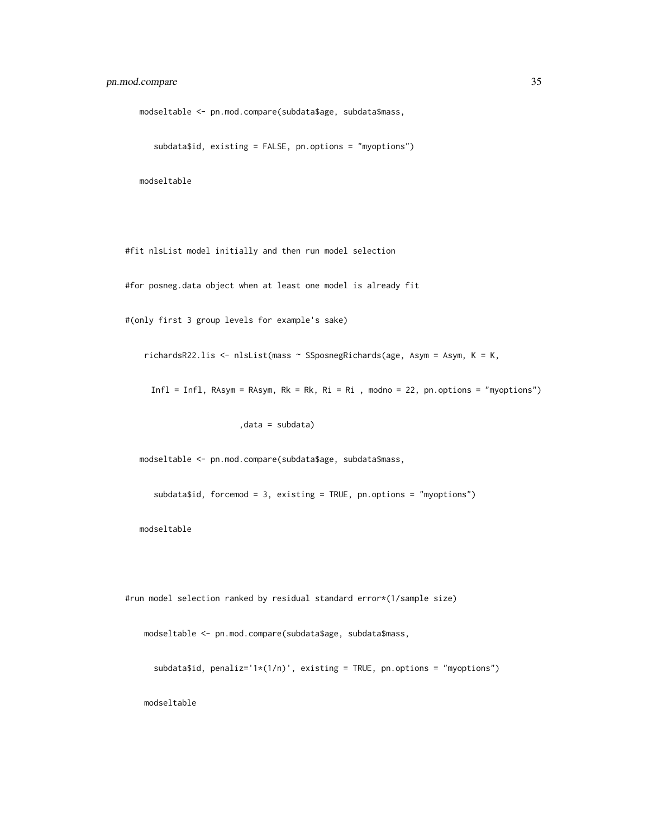modseltable <- pn.mod.compare(subdata\$age, subdata\$mass,

```
subdata$id, existing = FALSE, pn.options = "myoptions")
```
modseltable

#fit nlsList model initially and then run model selection

#for posneg.data object when at least one model is already fit

#(only first 3 group levels for example's sake)

richardsR22.lis <- nlsList(mass ~ SSposnegRichards(age, Asym = Asym, K = K,

Infl = Infl, RAsym = RAsym, Rk = Rk, Ri = Ri , modno = 22, pn.options = "myoptions")

,data = subdata)

modseltable <- pn.mod.compare(subdata\$age, subdata\$mass,

subdata\$id, forcemod = 3, existing = TRUE, pn.options = "myoptions")

modseltable

#run model selection ranked by residual standard error\*(1/sample size)

modseltable <- pn.mod.compare(subdata\$age, subdata\$mass,

subdata\$id, penaliz='1\*(1/n)', existing = TRUE, pn.options = "myoptions")

modseltable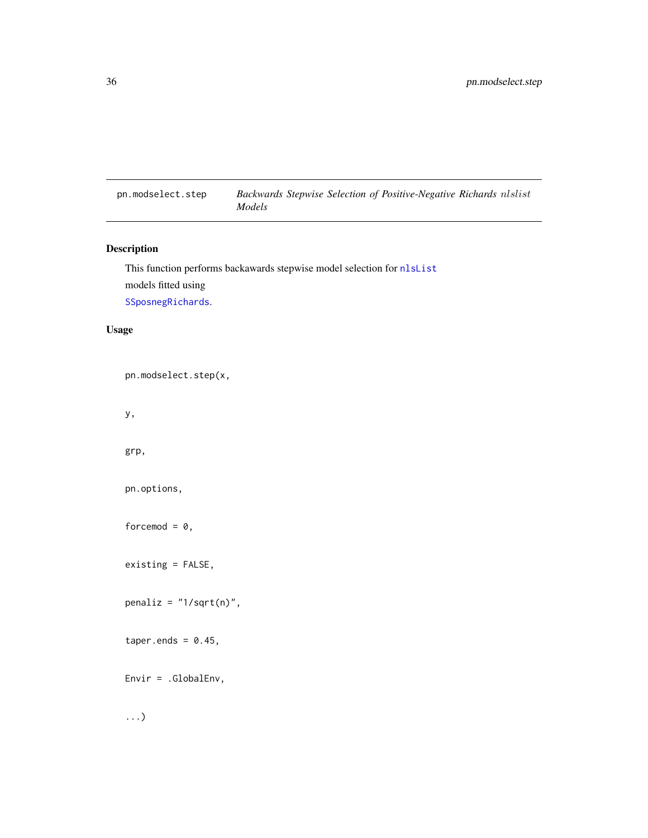<span id="page-35-1"></span><span id="page-35-0"></span>pn.modselect.step *Backwards Stepwise Selection of Positive-Negative Richards* nlslist *Models*

#### Description

```
This function performs backawards stepwise model selection for nlsList
models fitted using
SSposnegRichards.
```
#### Usage

pn.modselect.step(x,

y,

grp,

pn.options,

forcemod =  $0$ ,

existing = FALSE,

 $penaliz = "1/sqrt(n)",$ 

taper.ends =  $0.45$ ,

Envir = .GlobalEnv,

...)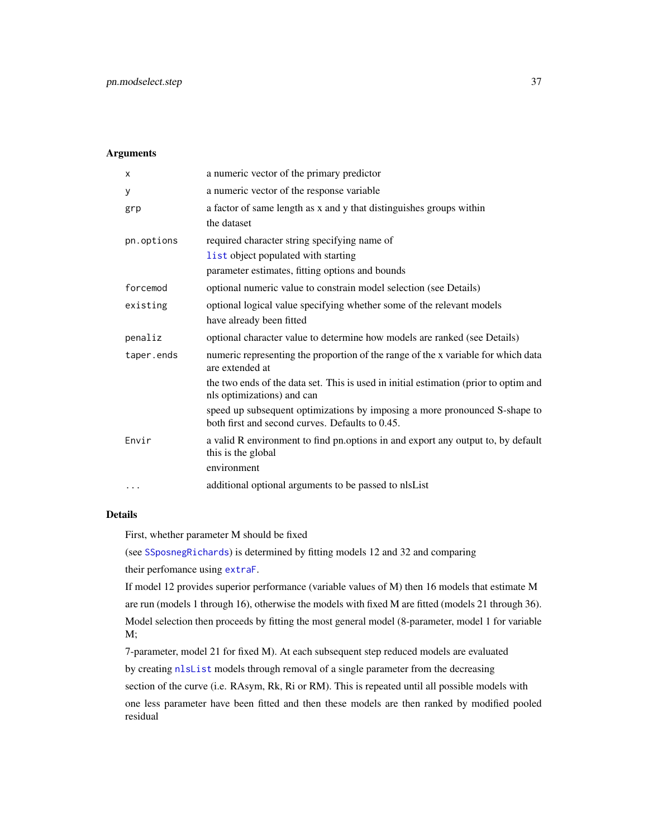#### <span id="page-36-0"></span>Arguments

| X          | a numeric vector of the primary predictor                                                                                              |
|------------|----------------------------------------------------------------------------------------------------------------------------------------|
| У          | a numeric vector of the response variable                                                                                              |
| grp        | a factor of same length as x and y that distinguishes groups within<br>the dataset                                                     |
| pn.options | required character string specifying name of<br>list object populated with starting<br>parameter estimates, fitting options and bounds |
| forcemod   | optional numeric value to constrain model selection (see Details)                                                                      |
| existing   | optional logical value specifying whether some of the relevant models<br>have already been fitted                                      |
| penaliz    | optional character value to determine how models are ranked (see Details)                                                              |
| taper.ends | numeric representing the proportion of the range of the x variable for which data<br>are extended at                                   |
|            | the two ends of the data set. This is used in initial estimation (prior to optim and<br>nls optimizations) and can                     |
|            | speed up subsequent optimizations by imposing a more pronounced S-shape to<br>both first and second curves. Defaults to 0.45.          |
| Envir      | a valid R environment to find pn.options in and export any output to, by default<br>this is the global                                 |
|            | environment                                                                                                                            |
| $\ddotsc$  | additional optional arguments to be passed to nlsList                                                                                  |

#### Details

First, whether parameter M should be fixed

(see [SSposnegRichards](#page-48-1)) is determined by fitting models 12 and 32 and comparing

their perfomance using [extraF](#page-13-1).

If model 12 provides superior performance (variable values of M) then 16 models that estimate M are run (models 1 through 16), otherwise the models with fixed M are fitted (models 21 through 36). Model selection then proceeds by fitting the most general model (8-parameter, model 1 for variable M;

7-parameter, model 21 for fixed M). At each subsequent step reduced models are evaluated by creating [nlsList](#page-0-0) models through removal of a single parameter from the decreasing section of the curve (i.e. RAsym, Rk, Ri or RM). This is repeated until all possible models with one less parameter have been fitted and then these models are then ranked by modified pooled residual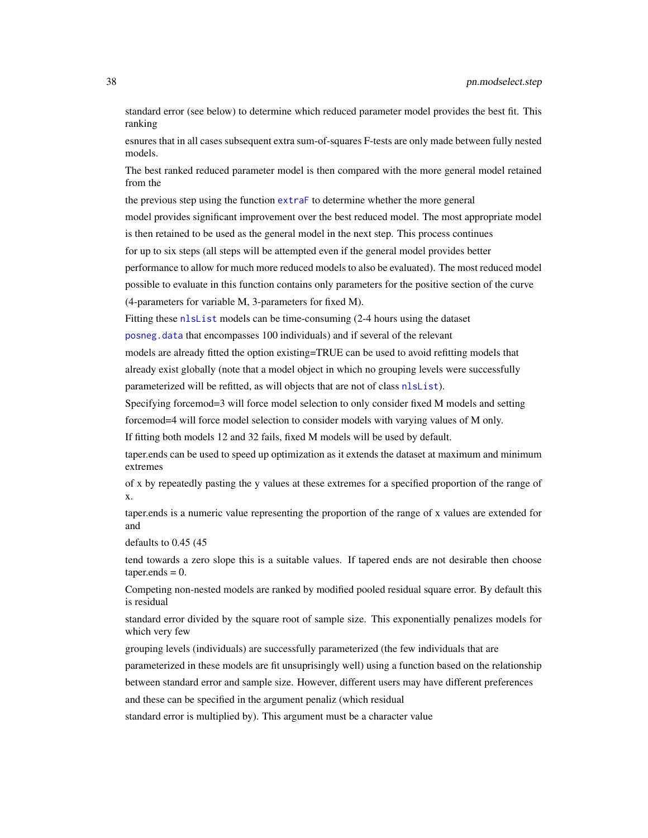<span id="page-37-0"></span>standard error (see below) to determine which reduced parameter model provides the best fit. This ranking

esnures that in all cases subsequent extra sum-of-squares F-tests are only made between fully nested models.

The best ranked reduced parameter model is then compared with the more general model retained from the

the previous step using the function [extraF](#page-13-1) to determine whether the more general

model provides significant improvement over the best reduced model. The most appropriate model is then retained to be used as the general model in the next step. This process continues

for up to six steps (all steps will be attempted even if the general model provides better

performance to allow for much more reduced models to also be evaluated). The most reduced model possible to evaluate in this function contains only parameters for the positive section of the curve (4-parameters for variable M, 3-parameters for fixed M).

Fitting these [nlsList](#page-0-0) models can be time-consuming (2-4 hours using the dataset

[posneg.data](#page-40-1) that encompasses 100 individuals) and if several of the relevant

models are already fitted the option existing=TRUE can be used to avoid refitting models that already exist globally (note that a model object in which no grouping levels were successfully parameterized will be refitted, as will objects that are not of class nlslist).

Specifying forcemod=3 will force model selection to only consider fixed M models and setting

forcemod=4 will force model selection to consider models with varying values of M only.

If fitting both models 12 and 32 fails, fixed M models will be used by default.

taper.ends can be used to speed up optimization as it extends the dataset at maximum and minimum extremes

of x by repeatedly pasting the y values at these extremes for a specified proportion of the range of x.

taper.ends is a numeric value representing the proportion of the range of x values are extended for and

defaults to 0.45 (45

tend towards a zero slope this is a suitable values. If tapered ends are not desirable then choose  $taper. ends = 0.$ 

Competing non-nested models are ranked by modified pooled residual square error. By default this is residual

standard error divided by the square root of sample size. This exponentially penalizes models for which very few

grouping levels (individuals) are successfully parameterized (the few individuals that are

parameterized in these models are fit unsuprisingly well) using a function based on the relationship

between standard error and sample size. However, different users may have different preferences

and these can be specified in the argument penaliz (which residual

standard error is multiplied by). This argument must be a character value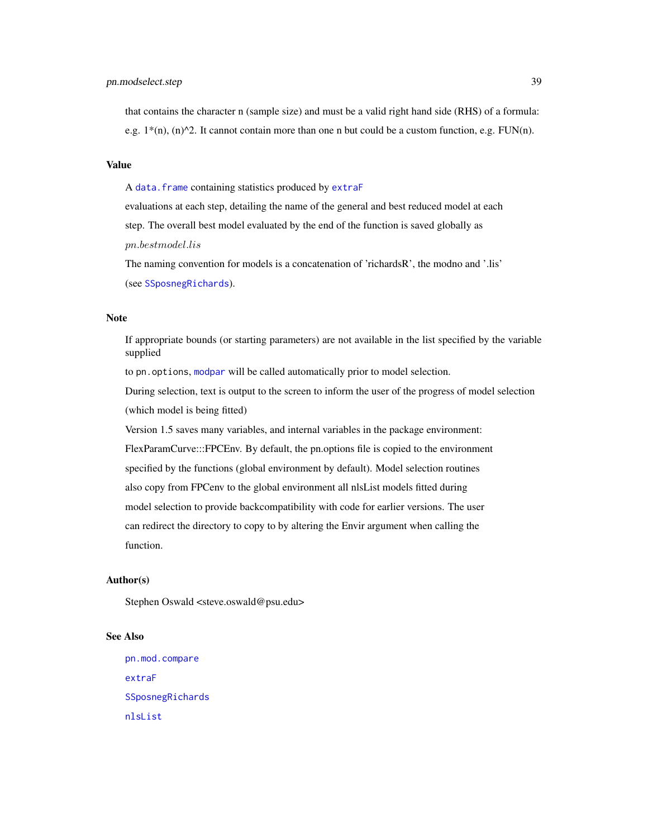<span id="page-38-0"></span>that contains the character n (sample size) and must be a valid right hand side (RHS) of a formula: e.g.  $1*(n)$ ,  $(n)^2$ . It cannot contain more than one n but could be a custom function, e.g. FUN(n).

#### Value

A [data.frame](#page-0-0) containing statistics produced by [extraF](#page-13-1)

evaluations at each step, detailing the name of the general and best reduced model at each step. The overall best model evaluated by the end of the function is saved globally as pn.bestmodel.lis

The naming convention for models is a concatenation of 'richardsR', the modno and '.lis' (see [SSposnegRichards](#page-48-1)).

#### Note

If appropriate bounds (or starting parameters) are not available in the list specified by the variable supplied

to pn. options, [modpar](#page-21-1) will be called automatically prior to model selection.

During selection, text is output to the screen to inform the user of the progress of model selection (which model is being fitted)

Version 1.5 saves many variables, and internal variables in the package environment:

FlexParamCurve:::FPCEnv. By default, the pn.options file is copied to the environment

specified by the functions (global environment by default). Model selection routines

also copy from FPCenv to the global environment all nlsList models fitted during

model selection to provide backcompatibility with code for earlier versions. The user can redirect the directory to copy to by altering the Envir argument when calling the

function.

#### Author(s)

Stephen Oswald <steve.oswald@psu.edu>

#### See Also

```
pn.mod.compare
extraF
SSposnegRichards
nlsList
```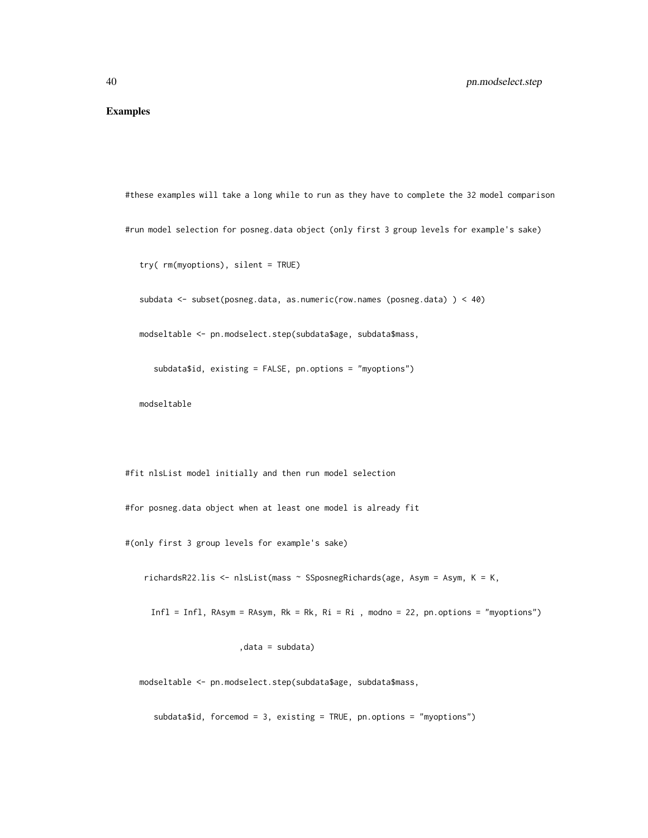#### Examples

```
#these examples will take a long while to run as they have to complete the 32 model comparison
#run model selection for posneg.data object (only first 3 group levels for example's sake)
```

```
try( rm(myoptions), silent = TRUE)
```
subdata <- subset(posneg.data, as.numeric(row.names (posneg.data) ) < 40)

modseltable <- pn.modselect.step(subdata\$age, subdata\$mass,

subdata\$id, existing = FALSE, pn.options = "myoptions")

modseltable

#fit nlsList model initially and then run model selection

#for posneg.data object when at least one model is already fit

#(only first 3 group levels for example's sake)

richardsR22.lis <- nlsList(mass ~ SSposnegRichards(age, Asym = Asym, K = K,

Infl = Infl, RAsym = RAsym, Rk = Rk, Ri = Ri , modno = 22, pn.options = "myoptions")

,data = subdata)

modseltable <- pn.modselect.step(subdata\$age, subdata\$mass,

subdata\$id, forcemod = 3, existing = TRUE, pn.options = "myoptions")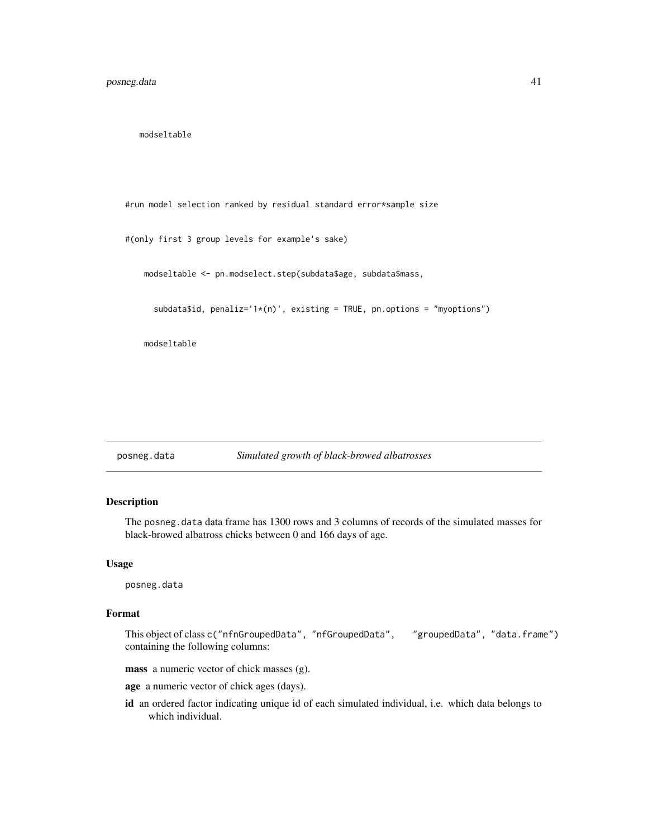<span id="page-40-0"></span>modseltable

#run model selection ranked by residual standard error\*sample size

#(only first 3 group levels for example's sake)

modseltable <- pn.modselect.step(subdata\$age, subdata\$mass,

subdata\$id, penaliz='1\*(n)', existing = TRUE, pn.options = "myoptions")

modseltable

```
posneg.data Simulated growth of black-browed albatrosses
```
#### Description

The posneg.data data frame has 1300 rows and 3 columns of records of the simulated masses for black-browed albatross chicks between 0 and 166 days of age.

#### Usage

posneg.data

#### Format

```
This object of class c("nfnGroupedData", "nfGroupedData", "groupedData", "data.frame")
containing the following columns:
```
mass a numeric vector of chick masses (g).

age a numeric vector of chick ages (days).

id an ordered factor indicating unique id of each simulated individual, i.e. which data belongs to which individual.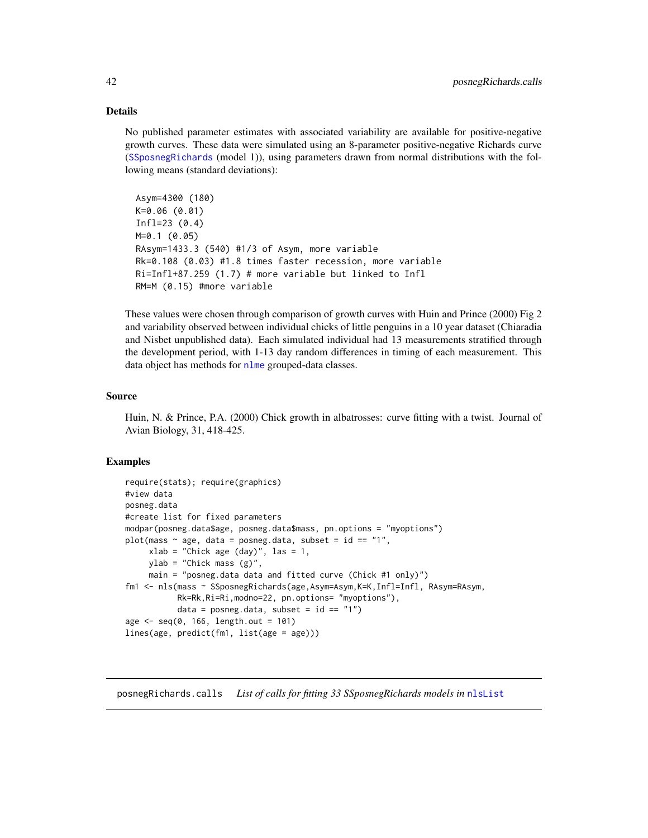#### <span id="page-41-0"></span>Details

No published parameter estimates with associated variability are available for positive-negative growth curves. These data were simulated using an 8-parameter positive-negative Richards curve ([SSposnegRichards](#page-48-1) (model 1)), using parameters drawn from normal distributions with the following means (standard deviations):

```
Asym=4300 (180)
K=0.06 (0.01)
Infl=23 (0.4)
M=0.1 (0.05)
RAsym=1433.3 (540) #1/3 of Asym, more variable
Rk=0.108 (0.03) #1.8 times faster recession, more variable
Ri=Infl+87.259 (1.7) # more variable but linked to Infl
RM=M (0.15) #more variable
```
These values were chosen through comparison of growth curves with Huin and Prince (2000) Fig 2 and variability observed between individual chicks of little penguins in a 10 year dataset (Chiaradia and Nisbet unpublished data). Each simulated individual had 13 measurements stratified through the development period, with 1-13 day random differences in timing of each measurement. This data object has methods for [nlme](#page-0-0) grouped-data classes.

#### Source

Huin, N. & Prince, P.A. (2000) Chick growth in albatrosses: curve fitting with a twist. Journal of Avian Biology, 31, 418-425.

#### Examples

```
require(stats); require(graphics)
#view data
posneg.data
#create list for fixed parameters
modpar(posneg.data$age, posneg.data$mass, pn.options = "myoptions")
plot(mass \sim age, data = posneg.data, subset = id == "1",
     xlab = "Chick age (day)", las = 1,ylab = "Chick mass (g)",
     main = "posneg.data data and fitted curve (Chick #1 only)")
fm1 <- nls(mass ~ SSposnegRichards(age,Asym=Asym,K=K,Infl=Infl, RAsym=RAsym,
           Rk=Rk,Ri=Ri,modno=22, pn.options= "myoptions"),
           data = posneg.data, subset = id == "1")age < - seq(0, 166, length.out = 101)lines(age, predict(fm1, list(age = age)))
```
<span id="page-41-1"></span>posnegRichards.calls *List of calls for fitting 33 SSposnegRichards models in* [nlsList](#page-0-0)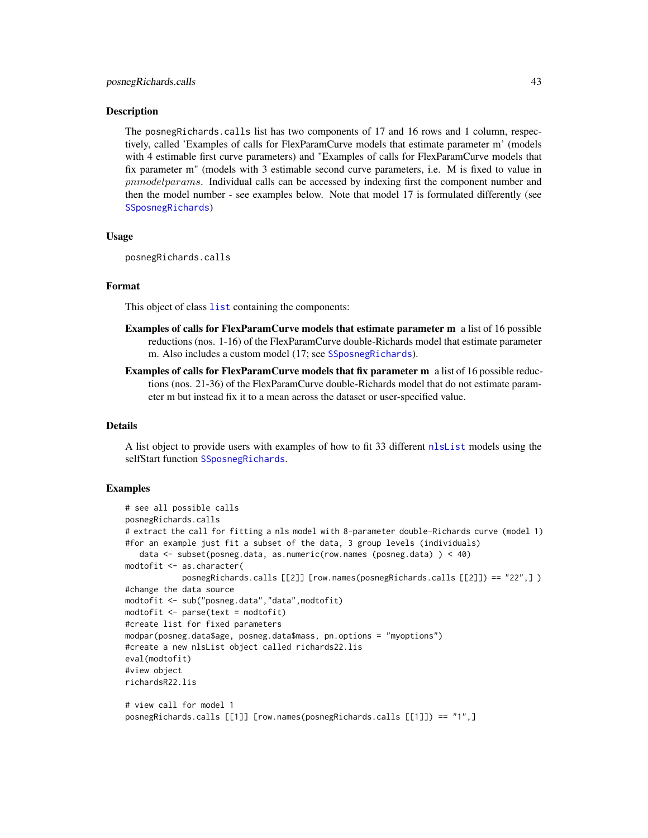#### <span id="page-42-0"></span>Description

The posnegRichards.calls list has two components of 17 and 16 rows and 1 column, respectively, called 'Examples of calls for FlexParamCurve models that estimate parameter m' (models with 4 estimable first curve parameters) and "Examples of calls for FlexParamCurve models that fix parameter m" (models with 3 estimable second curve parameters, i.e. M is fixed to value in pnmodelparams. Individual calls can be accessed by indexing first the component number and then the model number - see examples below. Note that model 17 is formulated differently (see [SSposnegRichards](#page-48-1))

#### Usage

posnegRichards.calls

#### Format

This object of class [list](#page-0-0) containing the components:

- Examples of calls for FlexParamCurve models that estimate parameter m a list of 16 possible reductions (nos. 1-16) of the FlexParamCurve double-Richards model that estimate parameter m. Also includes a custom model (17; see [SSposnegRichards](#page-48-1)).
- Examples of calls for FlexParamCurve models that fix parameter m a list of 16 possible reductions (nos. 21-36) of the FlexParamCurve double-Richards model that do not estimate parameter m but instead fix it to a mean across the dataset or user-specified value.

#### Details

A list object to provide users with examples of how to fit 33 different [nlsList](#page-0-0) models using the selfStart function [SSposnegRichards](#page-48-1).

#### Examples

```
# see all possible calls
posnegRichards.calls
# extract the call for fitting a nls model with 8-parameter double-Richards curve (model 1)
#for an example just fit a subset of the data, 3 group levels (individuals)
   data <- subset(posneg.data, as.numeric(row.names (posneg.data) ) < 40)
modtofit <- as.character(
            posnegRichards.calls [[2]] [row.names(posnegRichards.calls [[2]]) == "22",] )
#change the data source
modtofit <- sub("posneg.data","data",modtofit)
modtofit <- parse(text = modtofit)
#create list for fixed parameters
modpar(posneg.data$age, posneg.data$mass, pn.options = "myoptions")
#create a new nlsList object called richards22.lis
eval(modtofit)
#view object
richardsR22.lis
# view call for model 1
posnegRichards.calls [[1]] [row.names(posnegRichards.calls [[1]]) == "1",]
```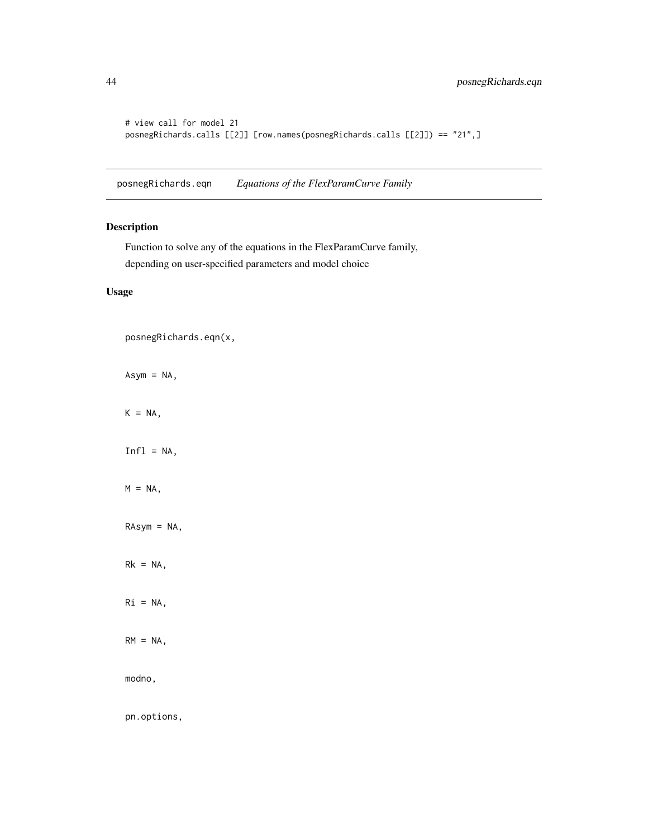```
# view call for model 21
posnegRichards.calls [[2]] [row.names(posnegRichards.calls [[2]]) == "21",]
```
<span id="page-43-1"></span>posnegRichards.eqn *Equations of the FlexParamCurve Family*

#### Description

Function to solve any of the equations in the FlexParamCurve family, depending on user-specified parameters and model choice

#### Usage

```
posnegRichards.eqn(x,
```
Asym = NA,

 $K = NA$ ,

 $Infl = NA$ ,

 $M = NA$ ,

RAsym = NA,

 $Rk = NA$ ,

 $Ri = NA$ ,

 $RM = NA$ ,

modno,

pn.options,

<span id="page-43-0"></span>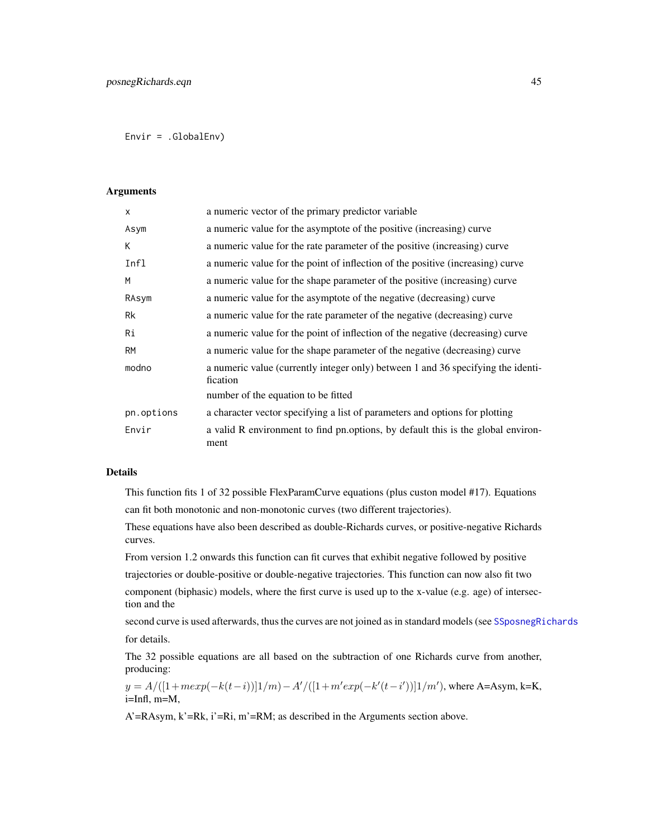<span id="page-44-0"></span>Envir = .GlobalEnv)

#### Arguments

| $\mathsf{x}$ | a numeric vector of the primary predictor variable                                           |
|--------------|----------------------------------------------------------------------------------------------|
| Asym         | a numeric value for the asymptote of the positive (increasing) curve                         |
| K            | a numeric value for the rate parameter of the positive (increasing) curve                    |
| Infl         | a numeric value for the point of inflection of the positive (increasing) curve               |
| M            | a numeric value for the shape parameter of the positive (increasing) curve                   |
| RAsym        | a numeric value for the asymptote of the negative (decreasing) curve                         |
| Rk           | a numeric value for the rate parameter of the negative (decreasing) curve                    |
| Ri           | a numeric value for the point of inflection of the negative (decreasing) curve               |
| <b>RM</b>    | a numeric value for the shape parameter of the negative (decreasing) curve                   |
| modno        | a numeric value (currently integer only) between 1 and 36 specifying the identi-<br>fication |
|              | number of the equation to be fitted                                                          |
| pn.options   | a character vector specifying a list of parameters and options for plotting                  |
| Envir        | a valid R environment to find pn.options, by default this is the global environ-<br>ment     |

#### Details

This function fits 1 of 32 possible FlexParamCurve equations (plus custon model #17). Equations can fit both monotonic and non-monotonic curves (two different trajectories).

These equations have also been described as double-Richards curves, or positive-negative Richards curves.

From version 1.2 onwards this function can fit curves that exhibit negative followed by positive trajectories or double-positive or double-negative trajectories. This function can now also fit two

component (biphasic) models, where the first curve is used up to the x-value (e.g. age) of intersection and the

second curve is used afterwards, thus the curves are not joined as in standard models (see [SSposnegRichards](#page-48-1) for details.

The 32 possible equations are all based on the subtraction of one Richards curve from another, producing:

 $y = A/([1 + mexp(-k(t - i))][1/m) - A'/([1 + m'exp(-k'(t - i'))][1/m')$ , where A=Asym, k=K, i=Infl, m=M,

A'=RAsym, k'=Rk, i'=Ri, m'=RM; as described in the Arguments section above.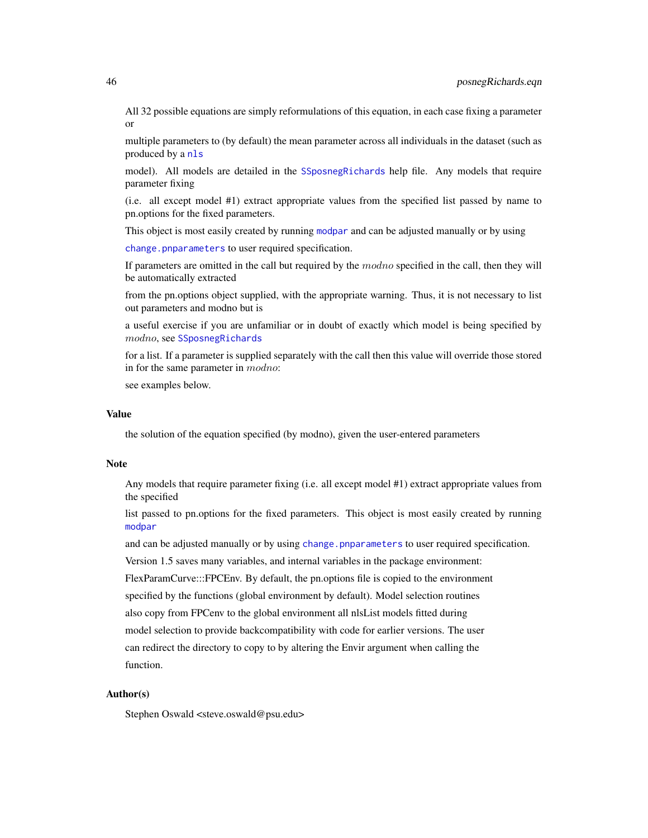<span id="page-45-0"></span>All 32 possible equations are simply reformulations of this equation, in each case fixing a parameter or

multiple parameters to (by default) the mean parameter across all individuals in the dataset (such as produced by a [nls](#page-0-0)

model). All models are detailed in the [SSposnegRichards](#page-48-1) help file. Any models that require parameter fixing

(i.e. all except model #1) extract appropriate values from the specified list passed by name to pn.options for the fixed parameters.

This object is most easily created by running [modpar](#page-21-1) and can be adjusted manually or by using

[change.pnparameters](#page-8-1) to user required specification.

If parameters are omitted in the call but required by the modno specified in the call, then they will be automatically extracted

from the pn.options object supplied, with the appropriate warning. Thus, it is not necessary to list out parameters and modno but is

a useful exercise if you are unfamiliar or in doubt of exactly which model is being specified by modno, see [SSposnegRichards](#page-48-1)

for a list. If a parameter is supplied separately with the call then this value will override those stored in for the same parameter in modno:

see examples below.

#### Value

the solution of the equation specified (by modno), given the user-entered parameters

#### Note

Any models that require parameter fixing (i.e. all except model #1) extract appropriate values from the specified

list passed to pn.options for the fixed parameters. This object is most easily created by running [modpar](#page-21-1)

and can be adjusted manually or by using [change.pnparameters](#page-8-1) to user required specification.

Version 1.5 saves many variables, and internal variables in the package environment:

FlexParamCurve:::FPCEnv. By default, the pn.options file is copied to the environment

specified by the functions (global environment by default). Model selection routines

also copy from FPCenv to the global environment all nlsList models fitted during

model selection to provide backcompatibility with code for earlier versions. The user

can redirect the directory to copy to by altering the Envir argument when calling the function.

#### Author(s)

Stephen Oswald <steve.oswald@psu.edu>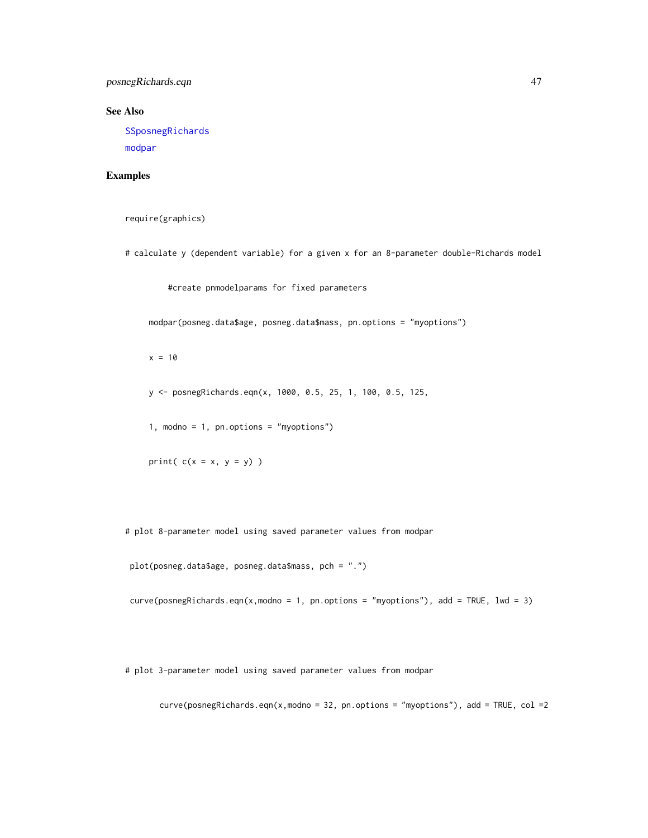<span id="page-46-0"></span>posnegRichards.eqn 47

See Also

[SSposnegRichards](#page-48-1)

[modpar](#page-21-1)

#### Examples

```
require(graphics)
```
# calculate y (dependent variable) for a given x for an 8-parameter double-Richards model

#create pnmodelparams for fixed parameters

modpar(posneg.data\$age, posneg.data\$mass, pn.options = "myoptions")

 $x = 10$ 

y <- posnegRichards.eqn(x, 1000, 0.5, 25, 1, 100, 0.5, 125,

1, modno = 1, pn.options = "myoptions")

print( $c(x = x, y = y)$ )

# plot 8-parameter model using saved parameter values from modpar

plot(posneg.data\$age, posneg.data\$mass, pch = ".")

 $curve(posnegRichards.eqn(x, modulo = 1, pn.options = "myoptions"), add = TRUE, lwd = 3)$ 

# plot 3-parameter model using saved parameter values from modpar

curve(posnegRichards.eqn(x,modno = 32, pn.options = "myoptions"), add = TRUE, col =2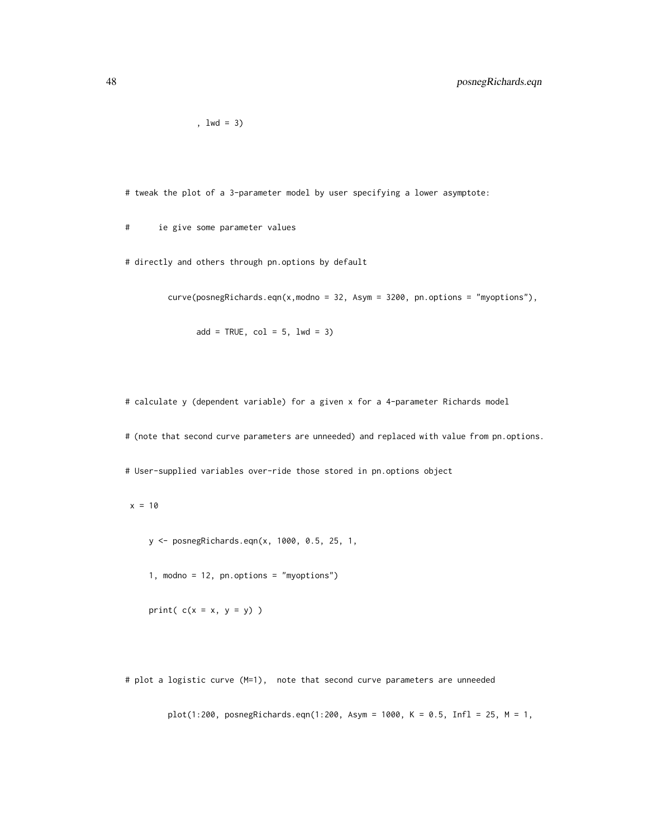,  $1wd = 3$ )

# tweak the plot of a 3-parameter model by user specifying a lower asymptote:

# ie give some parameter values

# directly and others through pn.options by default

curve(posnegRichards.eqn(x,modno = 32, Asym = 3200, pn.options = "myoptions"),

 $add = TRUE, col = 5, lwd = 3)$ 

# calculate y (dependent variable) for a given x for a 4-parameter Richards model

# (note that second curve parameters are unneeded) and replaced with value from pn.options.

# User-supplied variables over-ride those stored in pn.options object

 $x = 10$ 

y <- posnegRichards.eqn(x, 1000, 0.5, 25, 1,

1, modno = 12, pn.options = "myoptions")

print( $c(x = x, y = y)$ )

# plot a logistic curve (M=1), note that second curve parameters are unneeded

plot(1:200, posnegRichards.eqn(1:200, Asym = 1000, K = 0.5, Infl = 25, M = 1,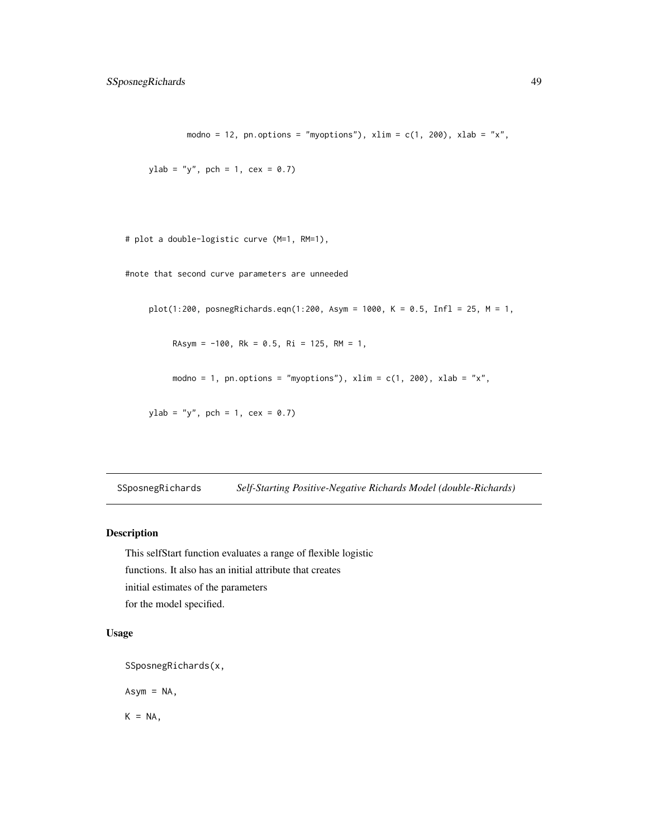```
modno = 12, pn.options = "myoptions"), xlim = c(1, 200), xlab = "x",
```

```
ylab = "y", pch = 1, cex = 0.7)
```

```
# plot a double-logistic curve (M=1, RM=1),
```
#note that second curve parameters are unneeded

plot(1:200, posnegRichards.eqn(1:200, Asym = 1000, K = 0.5, Infl = 25, M = 1,

RAsym =  $-100$ , Rk = 0.5, Ri = 125, RM = 1,

modno = 1, pn.options = "myoptions"),  $xlim = c(1, 200)$ ,  $xlab = "x",$ 

 $y$ lab = "y", pch = 1, cex = 0.7)

<span id="page-48-1"></span>SSposnegRichards *Self-Starting Positive-Negative Richards Model (double-Richards)*

#### Description

This selfStart function evaluates a range of flexible logistic functions. It also has an initial attribute that creates initial estimates of the parameters for the model specified.

#### Usage

```
SSposnegRichards(x,
```
 $Asym = NA$ ,

 $K = NA$ ,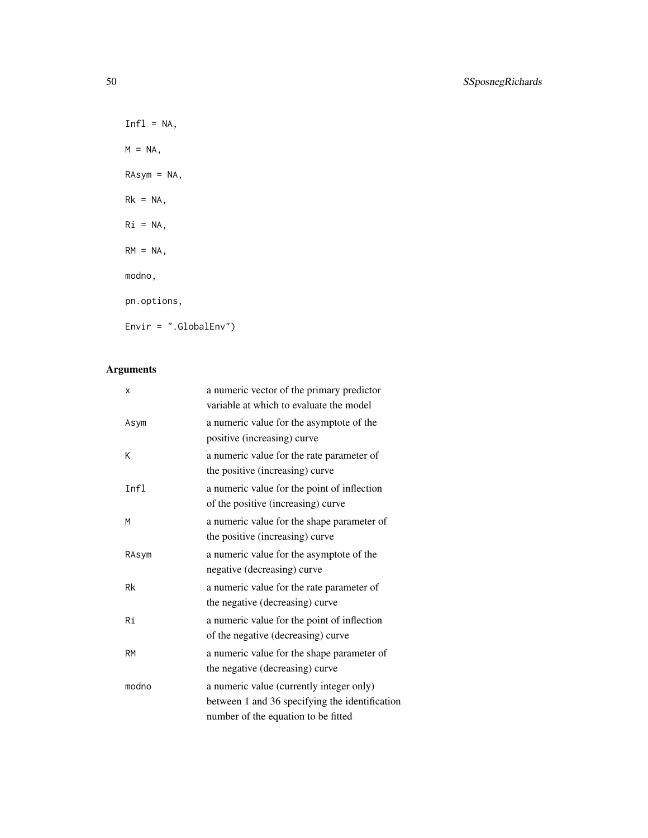$Infl = NA,$  $M = NA$ , RAsym = NA,  $Rk = NA$ , Ri = NA,  $RM = NA$ , modno, pn.options, Envir = ".GlobalEnv")

## Arguments

| X         | a numeric vector of the primary predictor      |
|-----------|------------------------------------------------|
|           | variable at which to evaluate the model        |
| Asym      | a numeric value for the asymptote of the       |
|           | positive (increasing) curve                    |
| К         | a numeric value for the rate parameter of      |
|           | the positive (increasing) curve                |
| Infl      | a numeric value for the point of inflection    |
|           | of the positive (increasing) curve             |
| м         | a numeric value for the shape parameter of     |
|           | the positive (increasing) curve                |
| RAsym     | a numeric value for the asymptote of the       |
|           | negative (decreasing) curve                    |
| Rk        | a numeric value for the rate parameter of      |
|           | the negative (decreasing) curve                |
| Ri        | a numeric value for the point of inflection    |
|           | of the negative (decreasing) curve             |
| <b>RM</b> | a numeric value for the shape parameter of     |
|           | the negative (decreasing) curve                |
| modno     | a numeric value (currently integer only)       |
|           | between 1 and 36 specifying the identification |
|           | number of the equation to be fitted            |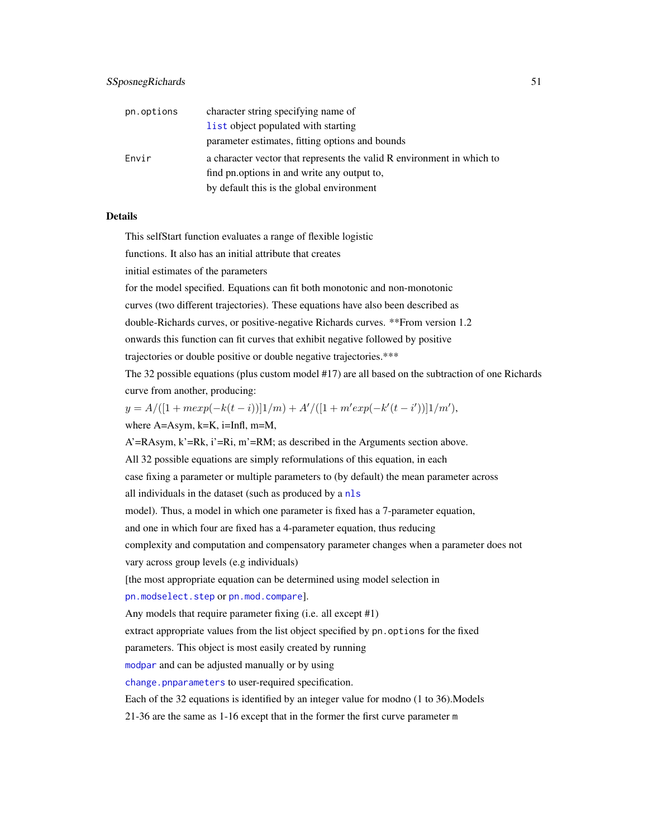<span id="page-50-0"></span>

| pn.options | character string specifying name of                                    |
|------------|------------------------------------------------------------------------|
|            | list object populated with starting                                    |
|            | parameter estimates, fitting options and bounds                        |
| Envir      | a character vector that represents the valid R environment in which to |
|            | find pn.options in and write any output to,                            |
|            | by default this is the global environment                              |

#### Details

This selfStart function evaluates a range of flexible logistic

functions. It also has an initial attribute that creates

initial estimates of the parameters

for the model specified. Equations can fit both monotonic and non-monotonic

curves (two different trajectories). These equations have also been described as

double-Richards curves, or positive-negative Richards curves. \*\*From version 1.2

onwards this function can fit curves that exhibit negative followed by positive

trajectories or double positive or double negative trajectories.\*\*\*

The 32 possible equations (plus custom model #17) are all based on the subtraction of one Richards curve from another, producing:

 $y = A/([1 + mexp(-k(t - i))]1/m) + A'/([1 + m'exp(-k'(t - i'))]1/m'),$ 

where A=Asym, k=K, i=Infl, m=M,

A'=RAsym, k'=Rk, i'=Ri, m'=RM; as described in the Arguments section above.

All 32 possible equations are simply reformulations of this equation, in each

case fixing a parameter or multiple parameters to (by default) the mean parameter across

all individuals in the dataset (such as produced by a [nls](#page-0-0)

model). Thus, a model in which one parameter is fixed has a 7-parameter equation,

and one in which four are fixed has a 4-parameter equation, thus reducing

complexity and computation and compensatory parameter changes when a parameter does not

vary across group levels (e.g individuals)

[the most appropriate equation can be determined using model selection in

[pn.modselect.step](#page-35-1) or [pn.mod.compare](#page-30-1)].

Any models that require parameter fixing (i.e. all except #1)

extract appropriate values from the list object specified by pn.options for the fixed

parameters. This object is most easily created by running

[modpar](#page-21-1) and can be adjusted manually or by using

[change.pnparameters](#page-8-1) to user-required specification.

Each of the 32 equations is identified by an integer value for modno (1 to 36).Models

21-36 are the same as 1-16 except that in the former the first curve parameter m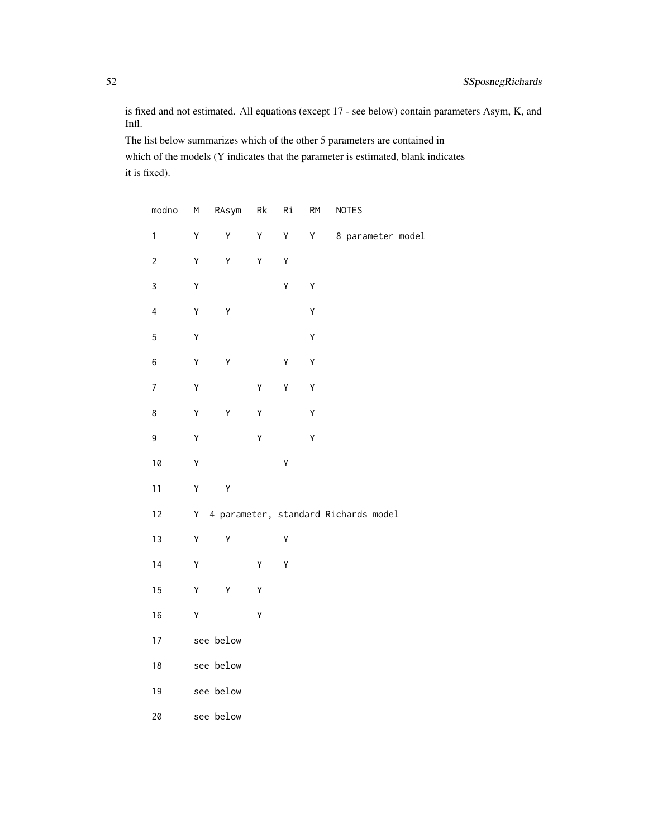is fixed and not estimated. All equations (except 17 - see below) contain parameters Asym, K, and Infl.

The list below summarizes which of the other 5 parameters are contained in which of the models (Y indicates that the parameter is estimated, blank indicates it is fixed).

| modno                   | M | RAsym     | Rk | Ri | <b>RM</b> | <b>NOTES</b>                         |  |
|-------------------------|---|-----------|----|----|-----------|--------------------------------------|--|
| $\mathbf{1}$            | Υ | Υ         | Υ  | Υ  | Υ         | 8 parameter model                    |  |
| $\overline{c}$          | Υ | Υ         | Υ  | Υ  |           |                                      |  |
| 3                       | Υ |           |    | Y  | Υ         |                                      |  |
| $\overline{\mathbf{4}}$ | Υ | Υ         |    |    | Y         |                                      |  |
| 5                       | Υ |           |    |    | Υ         |                                      |  |
| 6                       | Υ | Y         |    | Υ  | Υ         |                                      |  |
| $\overline{7}$          | Υ |           | Υ  | Υ  | Y         |                                      |  |
| 8                       | Y | Υ         | Υ  |    | Υ         |                                      |  |
| 9                       | Υ |           | Y  |    | Y         |                                      |  |
| 10                      | Υ |           |    | Y  |           |                                      |  |
| 11                      | Υ | Υ         |    |    |           |                                      |  |
| 12                      | Υ |           |    |    |           | 4 parameter, standard Richards model |  |
| 13                      | Υ | Υ         |    | Υ  |           |                                      |  |
| 14                      | Υ |           | Υ  | Y  |           |                                      |  |
| 15                      | Υ | Υ         | Υ  |    |           |                                      |  |
| 16                      | Υ |           | Υ  |    |           |                                      |  |
| 17                      |   | see below |    |    |           |                                      |  |
| 18                      |   | see below |    |    |           |                                      |  |
| 19                      |   | see below |    |    |           |                                      |  |
| 20                      |   | see below |    |    |           |                                      |  |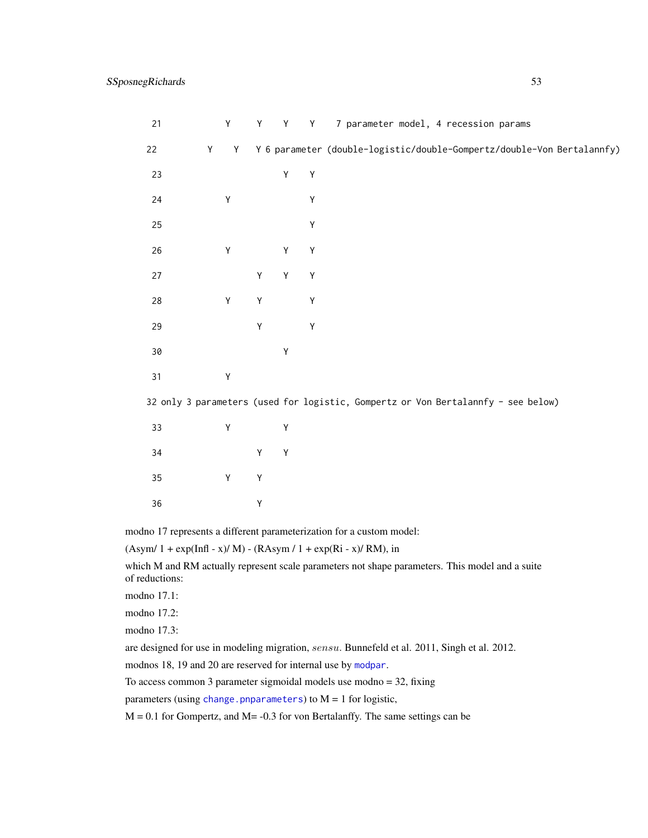<span id="page-52-0"></span>

| 21                                                                   | Y      | Υ | Y           | Y           | 7 parameter model, 4 recession params                                             |  |
|----------------------------------------------------------------------|--------|---|-------------|-------------|-----------------------------------------------------------------------------------|--|
| 22                                                                   | Y<br>Y |   |             |             | Y 6 parameter (double-logistic/double-Gompertz/double-Von Bertalannfy)            |  |
| 23                                                                   |        |   | Υ           | $\mathsf Y$ |                                                                                   |  |
| 24                                                                   | Υ      |   |             | Υ           |                                                                                   |  |
| 25                                                                   |        |   |             | Υ           |                                                                                   |  |
| 26                                                                   | Υ      |   | Υ           | Υ           |                                                                                   |  |
| 27                                                                   |        | Υ | $\mathsf Y$ | Υ           |                                                                                   |  |
| 28                                                                   | Υ      | Υ |             | Υ           |                                                                                   |  |
| 29                                                                   |        | Υ |             | Υ           |                                                                                   |  |
| 30                                                                   |        |   | Υ           |             |                                                                                   |  |
| 31                                                                   | Υ      |   |             |             |                                                                                   |  |
|                                                                      |        |   |             |             | 32 only 3 parameters (used for logistic, Gompertz or Von Bertalannfy - see below) |  |
| 33                                                                   | Υ      |   | Υ           |             |                                                                                   |  |
| 34                                                                   |        | Υ | $\mathsf Y$ |             |                                                                                   |  |
| 35                                                                   | Υ      | Υ |             |             |                                                                                   |  |
| 36                                                                   |        | Υ |             |             |                                                                                   |  |
| modno 17 represents a different parameterization for a custom model: |        |   |             |             |                                                                                   |  |

 $(Asym/ 1 + exp(InfI - x)/ M) - (RAsym/ 1 + exp(Ri - x)/ RM)$ , in

which M and RM actually represent scale parameters not shape parameters. This model and a suite of reductions:

modno 17.1:

modno 17.2:

modno 17.3:

are designed for use in modeling migration, sensu. Bunnefeld et al. 2011, Singh et al. 2012.

modnos 18, 19 and 20 are reserved for internal use by [modpar](#page-21-1).

To access common 3 parameter sigmoidal models use modno = 32, fixing

parameters (using [change.pnparameters](#page-8-1)) to  $M = 1$  for logistic,

 $M = 0.1$  for Gompertz, and  $M = -0.3$  for von Bertalanffy. The same settings can be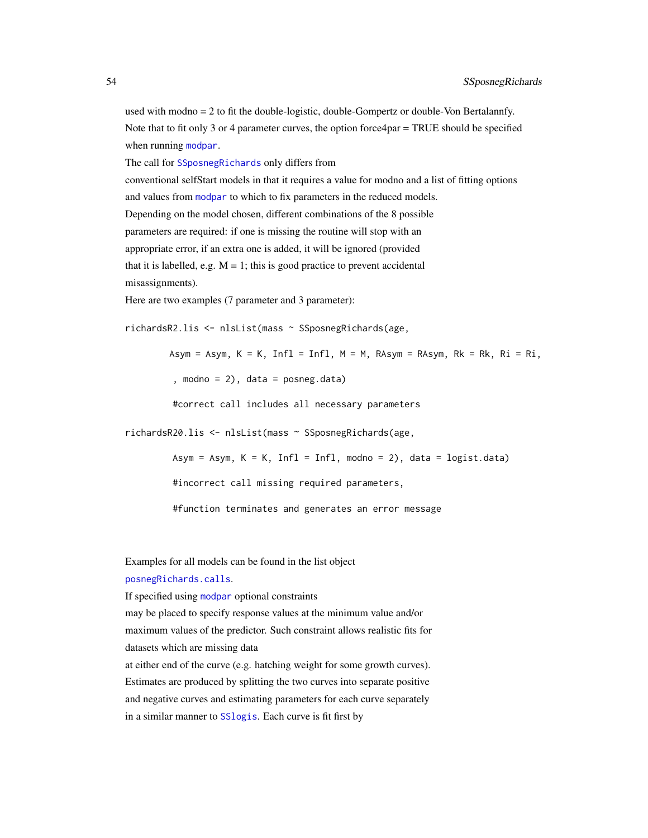<span id="page-53-0"></span>used with modno = 2 to fit the double-logistic, double-Gompertz or double-Von Bertalannfy. Note that to fit only 3 or 4 parameter curves, the option force4par = TRUE should be specified when running [modpar](#page-21-1).

The call for [SSposnegRichards](#page-48-1) only differs from

conventional selfStart models in that it requires a value for modno and a list of fitting options and values from [modpar](#page-21-1) to which to fix parameters in the reduced models. Depending on the model chosen, different combinations of the 8 possible parameters are required: if one is missing the routine will stop with an appropriate error, if an extra one is added, it will be ignored (provided that it is labelled, e.g.  $M = 1$ ; this is good practice to prevent accidental misassignments).

Here are two examples (7 parameter and 3 parameter):

richardsR2.lis <- nlsList(mass ~ SSposnegRichards(age,

Asym = Asym,  $K = K$ , Infl = Infl,  $M = M$ , RAsym = RAsym, Rk = Rk, Ri = Ri,

, modno =  $2$ ), data = posneg.data)

#correct call includes all necessary parameters

richardsR20.lis <- nlsList(mass ~ SSposnegRichards(age,

Asym = Asym,  $K = K$ , Infl = Infl, modno = 2), data = logist.data)

#incorrect call missing required parameters,

#function terminates and generates an error message

Examples for all models can be found in the list object

[posnegRichards.calls](#page-41-1).

If specified using [modpar](#page-21-1) optional constraints

may be placed to specify response values at the minimum value and/or maximum values of the predictor. Such constraint allows realistic fits for datasets which are missing data at either end of the curve (e.g. hatching weight for some growth curves).

Estimates are produced by splitting the two curves into separate positive and negative curves and estimating parameters for each curve separately in a similar manner to [SSlogis](#page-0-0). Each curve is fit first by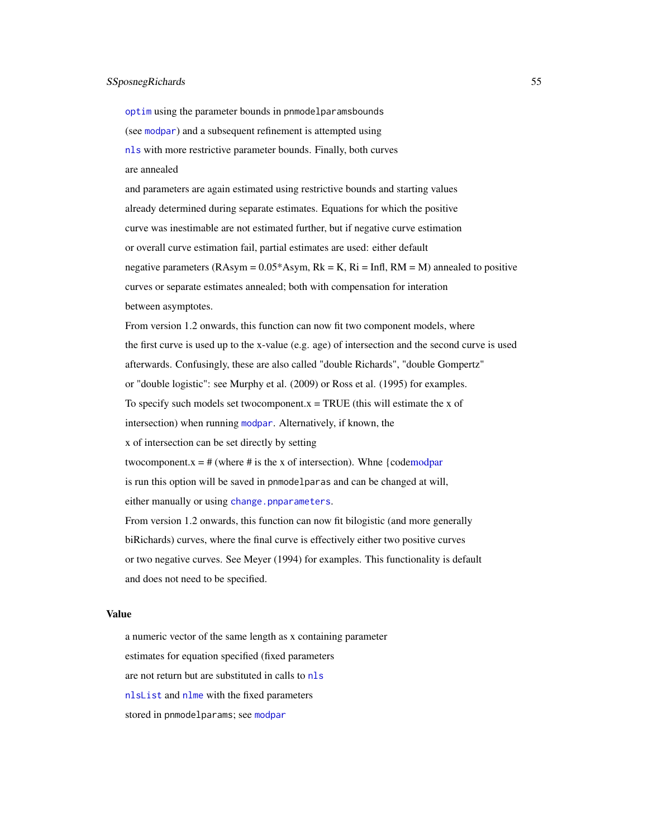#### <span id="page-54-0"></span>SSposnegRichards 55

[optim](#page-0-0) using the parameter bounds in pnmodelparamsbounds (see [modpar](#page-21-1)) and a subsequent refinement is attempted using [nls](#page-0-0) with more restrictive parameter bounds. Finally, both curves are annealed

and parameters are again estimated using restrictive bounds and starting values already determined during separate estimates. Equations for which the positive curve was inestimable are not estimated further, but if negative curve estimation or overall curve estimation fail, partial estimates are used: either default negative parameters (RAsym =  $0.05*$ Asym, Rk = K, Ri = Infl, RM = M) annealed to positive curves or separate estimates annealed; both with compensation for interation between asymptotes.

From version 1.2 onwards, this function can now fit two component models, where the first curve is used up to the x-value (e.g. age) of intersection and the second curve is used afterwards. Confusingly, these are also called "double Richards", "double Gompertz" or "double logistic": see Murphy et al. (2009) or Ross et al. (1995) for examples. To specify such models set two component. $x = TRUE$  (this will estimate the x of intersection) when running [modpar](#page-21-1). Alternatively, if known, the x of intersection can be set directly by setting two component.x =  $#$  (where  $#$  is the x of intersection). Whne {cod[emodpar](#page-21-1) is run this option will be saved in pnmodelparas and can be changed at will, either manually or using [change.pnparameters](#page-8-1). From version 1.2 onwards, this function can now fit bilogistic (and more generally biRichards) curves, where the final curve is effectively either two positive curves

or two negative curves. See Meyer (1994) for examples. This functionality is default and does not need to be specified.

#### Value

a numeric vector of the same length as x containing parameter estimates for equation specified (fixed parameters are not return but are substituted in calls to [nls](#page-0-0) [nlsList](#page-0-0) and [nlme](#page-0-0) with the fixed parameters stored in pnmodelparams; see [modpar](#page-21-1)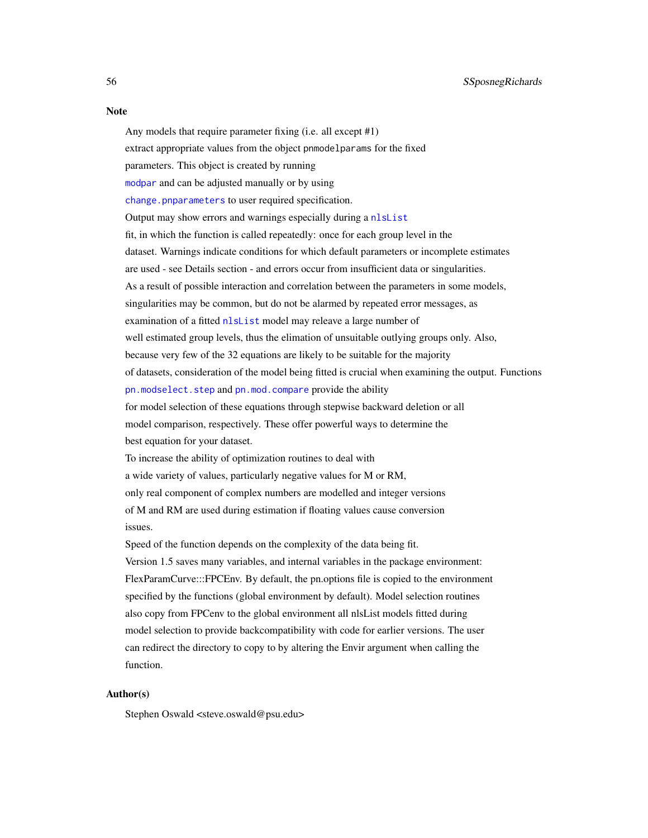#### <span id="page-55-0"></span>**Note**

Any models that require parameter fixing (i.e. all except #1)

extract appropriate values from the object pnmodelparams for the fixed

parameters. This object is created by running

[modpar](#page-21-1) and can be adjusted manually or by using

[change.pnparameters](#page-8-1) to user required specification.

Output may show errors and warnings especially during a [nlsList](#page-0-0)

fit, in which the function is called repeatedly: once for each group level in the

dataset. Warnings indicate conditions for which default parameters or incomplete estimates

are used - see Details section - and errors occur from insufficient data or singularities.

As a result of possible interaction and correlation between the parameters in some models,

singularities may be common, but do not be alarmed by repeated error messages, as

examination of a fitted [nlsList](#page-0-0) model may releave a large number of

well estimated group levels, thus the elimation of unsuitable outlying groups only. Also,

because very few of the 32 equations are likely to be suitable for the majority

of datasets, consideration of the model being fitted is crucial when examining the output. Functions

[pn.modselect.step](#page-35-1) and [pn.mod.compare](#page-30-1) provide the ability

for model selection of these equations through stepwise backward deletion or all

model comparison, respectively. These offer powerful ways to determine the best equation for your dataset.

To increase the ability of optimization routines to deal with

a wide variety of values, particularly negative values for M or RM,

only real component of complex numbers are modelled and integer versions

of M and RM are used during estimation if floating values cause conversion issues.

Speed of the function depends on the complexity of the data being fit. Version 1.5 saves many variables, and internal variables in the package environment: FlexParamCurve:::FPCEnv. By default, the pn.options file is copied to the environment specified by the functions (global environment by default). Model selection routines also copy from FPCenv to the global environment all nlsList models fitted during model selection to provide backcompatibility with code for earlier versions. The user can redirect the directory to copy to by altering the Envir argument when calling the function.

#### Author(s)

Stephen Oswald <steve.oswald@psu.edu>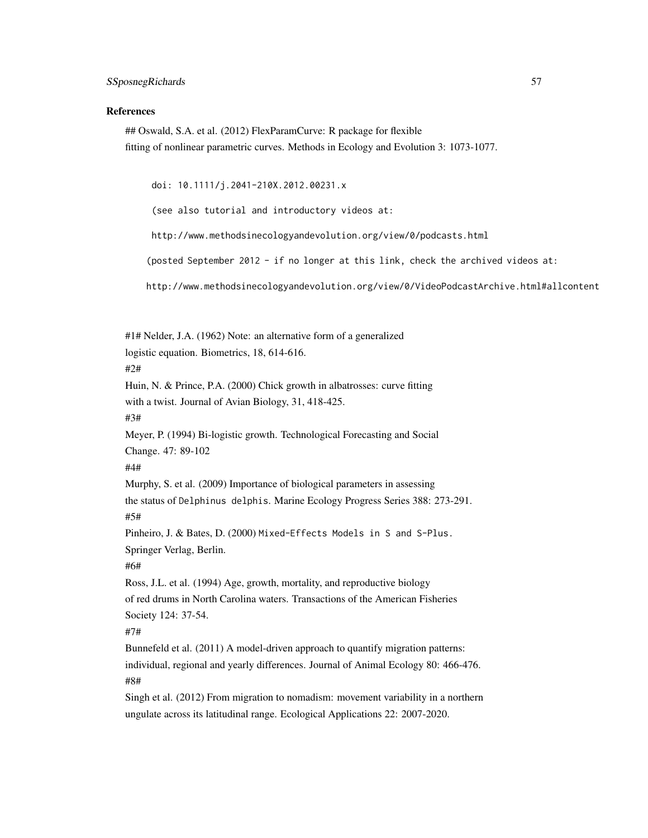#### References

## Oswald, S.A. et al. (2012) FlexParamCurve: R package for flexible fitting of nonlinear parametric curves. Methods in Ecology and Evolution 3: 1073-1077.

doi: 10.1111/j.2041-210X.2012.00231.x

(see also tutorial and introductory videos at:

http://www.methodsinecologyandevolution.org/view/0/podcasts.html

(posted September 2012 - if no longer at this link, check the archived videos at:

http://www.methodsinecologyandevolution.org/view/0/VideoPodcastArchive.html#allcontent

#1# Nelder, J.A. (1962) Note: an alternative form of a generalized logistic equation. Biometrics, 18, 614-616. #2# Huin, N. & Prince, P.A. (2000) Chick growth in albatrosses: curve fitting with a twist. Journal of Avian Biology, 31, 418-425. #3# Meyer, P. (1994) Bi-logistic growth. Technological Forecasting and Social Change. 47: 89-102 #4# Murphy, S. et al. (2009) Importance of biological parameters in assessing the status of Delphinus delphis. Marine Ecology Progress Series 388: 273-291. #5# Pinheiro, J. & Bates, D. (2000) Mixed-Effects Models in S and S-Plus. Springer Verlag, Berlin. #6# Ross, J.L. et al. (1994) Age, growth, mortality, and reproductive biology of red drums in North Carolina waters. Transactions of the American Fisheries Society 124: 37-54. #7# Bunnefeld et al. (2011) A model-driven approach to quantify migration patterns: individual, regional and yearly differences. Journal of Animal Ecology 80: 466-476. #8#

Singh et al. (2012) From migration to nomadism: movement variability in a northern ungulate across its latitudinal range. Ecological Applications 22: 2007-2020.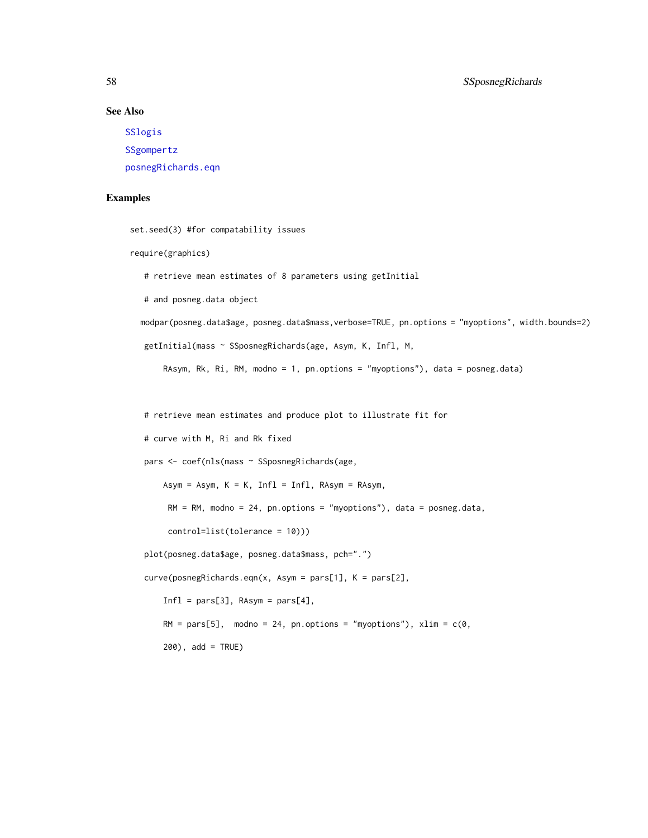#### See Also

[SSlogis](#page-0-0) [SSgompertz](#page-0-0) [posnegRichards.eqn](#page-43-1)

#### Examples

```
set.seed(3) #for compatability issues
```

```
require(graphics)
```
# retrieve mean estimates of 8 parameters using getInitial

# and posneg.data object

modpar(posneg.data\$age, posneg.data\$mass,verbose=TRUE, pn.options = "myoptions", width.bounds=2)

```
getInitial(mass ~ SSposnegRichards(age, Asym, K, Infl, M,
```
RAsym, Rk, Ri, RM, modno = 1, pn.options = "myoptions"), data = posneg.data)

# retrieve mean estimates and produce plot to illustrate fit for

```
# curve with M, Ri and Rk fixed
```
pars <- coef(nls(mass ~ SSposnegRichards(age,

Asym = Asym,  $K = K$ , Infl = Infl, RAsym = RAsym,

 $RM = RM$ , modno = 24, pn.options = "myoptions"), data = posneg.data,

control=list(tolerance = 10)))

plot(posneg.data\$age, posneg.data\$mass, pch=".")

curve(posnegRichards.eqn(x, Asym = pars[1], K = pars[2],

 $Infl = pars[3], RAsym = pars[4],$ 

RM =  $pars[5]$ , modno = 24, pn.options = "myoptions"), xlim =  $c(0, 0)$ 

200), add = TRUE)

<span id="page-57-0"></span>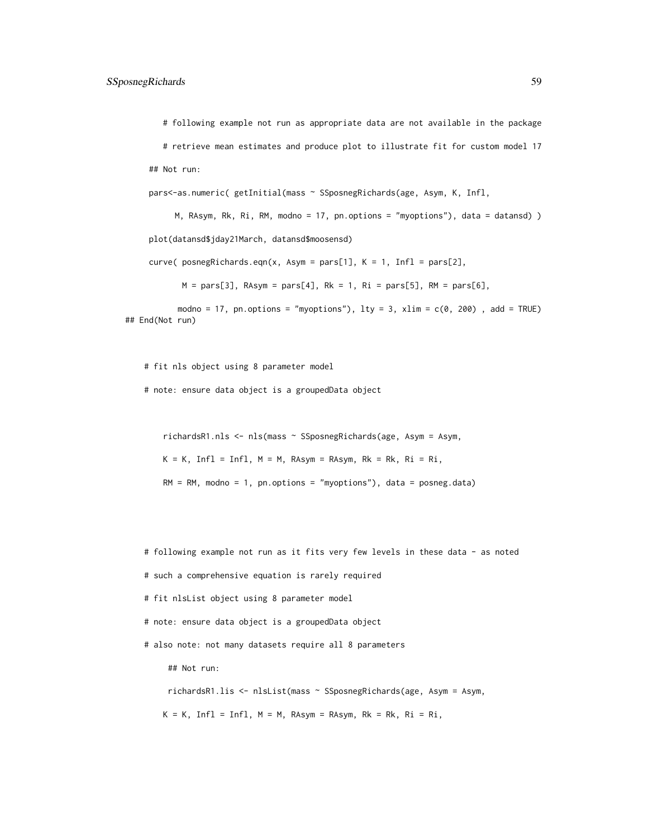# following example not run as appropriate data are not available in the package

# retrieve mean estimates and produce plot to illustrate fit for custom model 17 ## Not run:

pars<-as.numeric( getInitial(mass ~ SSposnegRichards(age, Asym, K, Infl,

M, RAsym, Rk, Ri, RM, modno = 17, pn.options = "myoptions"), data = datansd) ) plot(datansd\$jday21March, datansd\$moosensd)

curve( posnegRichards.eqn(x, Asym = pars[1],  $K = 1$ , Infl = pars[2],

 $M = pars[3], RAsym = pars[4], Rk = 1, Ri = pars[5], RM = pars[6],$ 

modno = 17, pn.options = "myoptions"),  $lty = 3$ ,  $xlim = c(0, 200)$ , add = TRUE) ## End(Not run)

# fit nls object using 8 parameter model

# note: ensure data object is a groupedData object

richardsR1.nls <- nls(mass ~ SSposnegRichards(age, Asym = Asym,

 $K = K$ , Infl = Infl,  $M = M$ , RAsym = RAsym, Rk = Rk, Ri = Ri,

 $RM = RM$ , modno = 1, pn.options = "myoptions"), data = posneg.data)

# following example not run as it fits very few levels in these data - as noted

# such a comprehensive equation is rarely required

# fit nlsList object using 8 parameter model

# note: ensure data object is a groupedData object

# also note: not many datasets require all 8 parameters

## Not run:

richardsR1.lis <- nlsList(mass ~ SSposnegRichards(age, Asym = Asym,

 $K = K$ , Infl = Infl,  $M = M$ , RAsym = RAsym, Rk = Rk, Ri = Ri,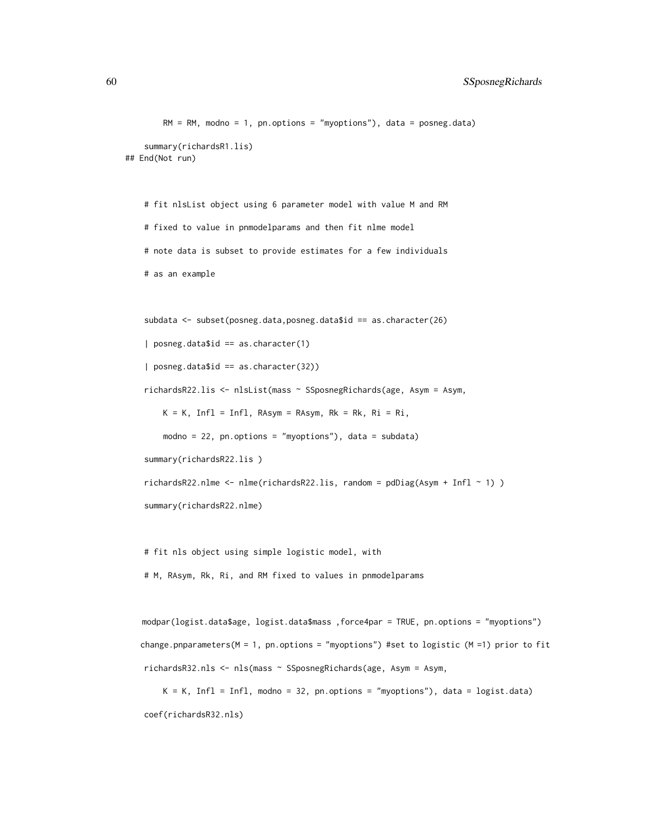```
RM = RM, modno = 1, pn.options = "myoptions"), data = posneg.data)
    summary(richardsR1.lis)
## End(Not run)
```
# fit nlsList object using 6 parameter model with value M and RM # fixed to value in pnmodelparams and then fit nlme model # note data is subset to provide estimates for a few individuals # as an example

```
subdata <- subset(posneg.data,posneg.data$id == as.character(26)
| posneg.data$id == as.character(1)
| posneg.data$id == as.character(32))
richardsR22.lis <- nlsList(mass ~ SSposnegRichards(age, Asym = Asym,
   K = K, Infl = Infl, RAsym = RAsym, Rk = Rk, Ri = Ri,
   modno = 22, pn.options = "myoptions"), data = subdata)
summary(richardsR22.lis )
richardsR22.nlme <- nlme(richardsR22.lis, random = pdDiag(Asym + Infl ~ 1) )
```
summary(richardsR22.nlme)

# fit nls object using simple logistic model, with # M, RAsym, Rk, Ri, and RM fixed to values in pnmodelparams

```
modpar(logist.data$age, logist.data$mass ,force4par = TRUE, pn.options = "myoptions")
change.pnparameters(M = 1, pn.options = "myoptions") #set to logistic (M = 1) prior to fit
richardsR32.nls <- nls(mass ~ SSposnegRichards(age, Asym = Asym,
```
 $K = K$ , Infl = Infl, modno = 32, pn.options = "myoptions"), data = logist.data) coef(richardsR32.nls)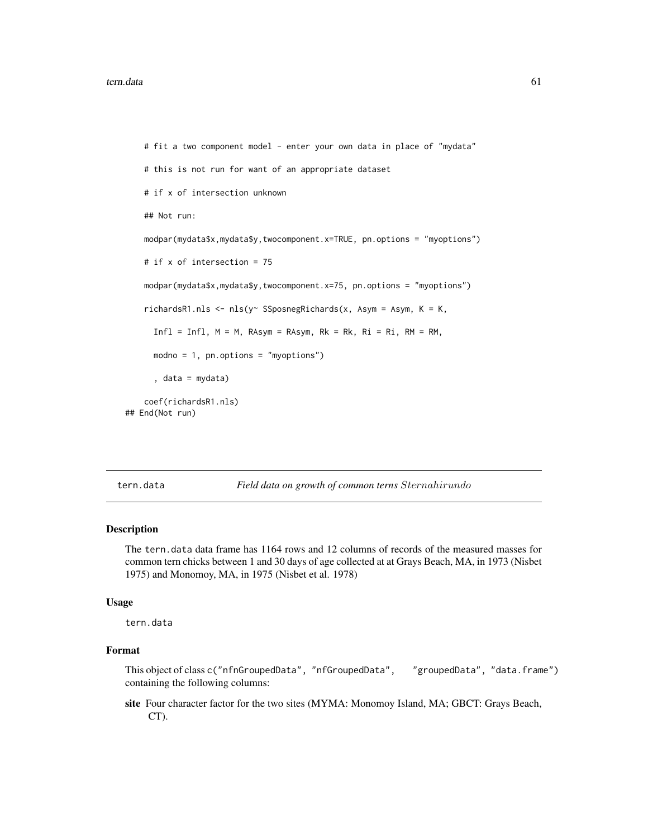```
# fit a two component model - enter your own data in place of "mydata"
   # this is not run for want of an appropriate dataset
   # if x of intersection unknown
   ## Not run:
   modpar(mydata$x,mydata$y,twocomponent.x=TRUE, pn.options = "myoptions")
   # if x of intersection = 75
   modpar(mydata$x,mydata$y,twocomponent.x=75, pn.options = "myoptions")
   richardsR1.nls <- nls(y~ SSposnegRichards(x, Asym = Asym, K = K,
     Infl = Infl, M = M, RAsym = RAsym, Rk = Rk, Ri = Ri, RM = RM,modno = 1, pn. options = "myoptions")
      , data = mydata)
   coef(richardsR1.nls)
## End(Not run)
```
tern.data *Field data on growth of common terns* Sternahirundo

#### Description

The tern.data data frame has 1164 rows and 12 columns of records of the measured masses for common tern chicks between 1 and 30 days of age collected at at Grays Beach, MA, in 1973 (Nisbet 1975) and Monomoy, MA, in 1975 (Nisbet et al. 1978)

#### Usage

tern.data

#### Format

This object of class c("nfnGroupedData", "nfGroupedData", "groupedData", "data.frame") containing the following columns:

site Four character factor for the two sites (MYMA: Monomoy Island, MA; GBCT: Grays Beach, CT).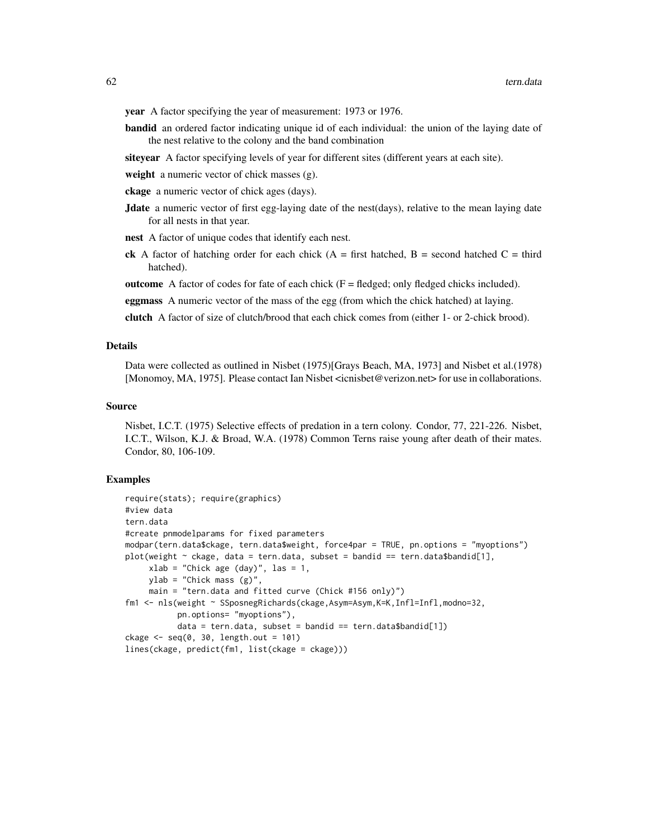year A factor specifying the year of measurement: 1973 or 1976.

- bandid an ordered factor indicating unique id of each individual: the union of the laying date of the nest relative to the colony and the band combination
- siteyear A factor specifying levels of year for different sites (different years at each site).
- weight a numeric vector of chick masses (g).
- ckage a numeric vector of chick ages (days).
- **Jdate** a numeric vector of first egg-laying date of the nest(days), relative to the mean laying date for all nests in that year.
- nest A factor of unique codes that identify each nest.
- **ck** A factor of hatching order for each chick ( $A =$  first hatched,  $B =$  second hatched  $C =$  third hatched).
- outcome A factor of codes for fate of each chick  $(F = \text{fledged}; \text{only fledged}$  chicks included).
- eggmass A numeric vector of the mass of the egg (from which the chick hatched) at laying.
- clutch A factor of size of clutch/brood that each chick comes from (either 1- or 2-chick brood).

#### Details

Data were collected as outlined in Nisbet (1975)[Grays Beach, MA, 1973] and Nisbet et al.(1978) [Monomoy, MA, 1975]. Please contact Ian Nisbet <icnisbet@verizon.net> for use in collaborations.

#### Source

Nisbet, I.C.T. (1975) Selective effects of predation in a tern colony. Condor, 77, 221-226. Nisbet, I.C.T., Wilson, K.J. & Broad, W.A. (1978) Common Terns raise young after death of their mates. Condor, 80, 106-109.

#### Examples

```
require(stats); require(graphics)
#view data
tern.data
#create pnmodelparams for fixed parameters
modpar(tern.data$ckage, tern.data$weight, force4par = TRUE, pn.options = "myoptions")
plot(weight \sim ckage, data = tern.data, subset = bandid == tern.data$bandid[1],
     xlab = "Chick age (day)", las = 1,ylab = "Chick mass (g)"
    main = "tern.data and fitted curve (Chick #156 only)")
fm1 <- nls(weight ~ SSposnegRichards(ckage,Asym=Asym,K=K,Infl=Infl,modno=32,
           pn.options= "myoptions"),
           data = tern.data, subset = bandid == tern.data$bandid[1])
ckage \leq seq(0, 30, length.out = 101)
lines(ckage, predict(fm1, list(ckage = ckage)))
```